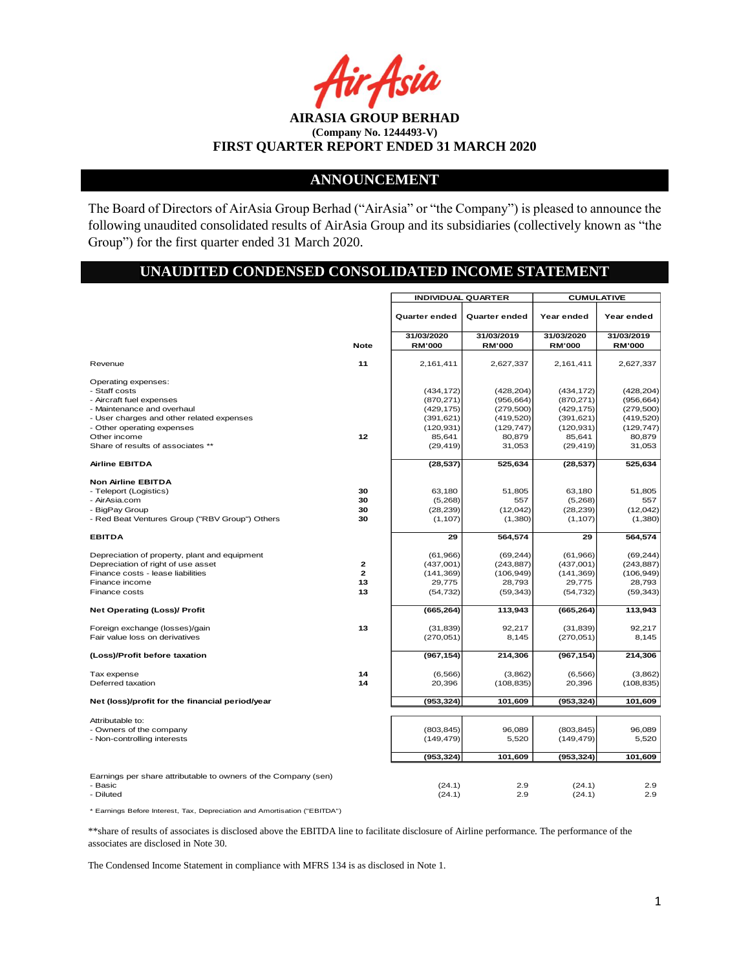r Asia

**AIRASIA GROUP BERHAD (Company No. 1244493-V) FIRST QUARTER REPORT ENDED 31 MARCH 2020**

### **ANNOUNCEMENT**

The Board of Directors of AirAsia Group Berhad ("AirAsia" or "the Company") is pleased to announce the following unaudited consolidated results of AirAsia Group and its subsidiaries (collectively known as "the Group") for the first quarter ended 31 March 2020.

# **UNAUDITED CONDENSED CONSOLIDATED INCOME STATEMENT**

|                                                                |              | <b>INDIVIDUAL QUARTER</b>   |                             | <b>CUMULATIVE</b>           |                             |
|----------------------------------------------------------------|--------------|-----------------------------|-----------------------------|-----------------------------|-----------------------------|
|                                                                |              | Quarter ended               | Quarter ended               | Year ended                  | Year ended                  |
|                                                                | <b>Note</b>  | 31/03/2020<br><b>RM'000</b> | 31/03/2019<br><b>RM'000</b> | 31/03/2020<br><b>RM'000</b> | 31/03/2019<br><b>RM'000</b> |
| Revenue                                                        | 11           | 2,161,411                   | 2,627,337                   | 2,161,411                   | 2,627,337                   |
| Operating expenses:                                            |              |                             |                             |                             |                             |
| - Staff costs                                                  |              | (434, 172)                  | (428, 204)                  | (434, 172)                  | (428, 204)                  |
| - Aircraft fuel expenses                                       |              | (870, 271)                  | (956, 664)                  | (870, 271)                  | (956, 664)                  |
| - Maintenance and overhaul                                     |              | (429, 175)                  | (279, 500)                  | (429, 175)                  | (279, 500)                  |
| - User charges and other related expenses                      |              | (391, 621)                  | (419, 520)                  | (391, 621)                  | (419, 520)                  |
| - Other operating expenses                                     |              | (120, 931)                  | (129, 747)                  | (120, 931)                  | (129, 747)                  |
| Other income                                                   | 12           | 85,641                      | 80,879                      | 85,641                      | 80,879                      |
| Share of results of associates **                              |              | (29, 419)                   | 31,053                      | (29, 419)                   | 31,053                      |
| <b>Airline EBITDA</b>                                          |              | (28, 537)                   | 525,634                     | (28, 537)                   | 525,634                     |
| <b>Non Airline EBITDA</b>                                      |              |                             |                             |                             |                             |
| - Teleport (Logistics)                                         | 30           | 63,180                      | 51,805                      | 63,180                      | 51.805                      |
| - AirAsia.com                                                  | 30           | (5,268)                     | 557                         | (5,268)                     | 557                         |
| - BigPay Group                                                 | 30           | (28, 239)                   | (12,042)                    | (28, 239)                   | (12,042)                    |
| - Red Beat Ventures Group ("RBV Group") Others                 | 30           | (1, 107)                    | (1,380)                     | (1, 107)                    | (1,380)                     |
| <b>EBITDA</b>                                                  |              | 29                          | 564,574                     | 29                          | 564,574                     |
| Depreciation of property, plant and equipment                  |              | (61,966)                    | (69, 244)                   | (61, 966)                   | (69, 244)                   |
| Depreciation of right of use asset                             | $\mathbf{z}$ | (437,001)                   | (243, 887)                  | (437,001)                   | (243, 887)                  |
| Finance costs - lease liabilities                              | $\mathbf{z}$ | (141, 369)                  | (106, 949)                  | (141, 369)                  | (106, 949)                  |
| Finance income                                                 | 13           | 29,775                      | 28,793                      | 29,775                      | 28,793                      |
| Finance costs                                                  | 13           | (54, 732)                   | (59, 343)                   | (54, 732)                   | (59, 343)                   |
| <b>Net Operating (Loss)/ Profit</b>                            |              | (665, 264)                  | 113,943                     | (665, 264)                  | 113,943                     |
| Foreign exchange (losses)/gain                                 | 13           | (31, 839)                   | 92,217                      | (31, 839)                   | 92,217                      |
| Fair value loss on derivatives                                 |              | (270, 051)                  | 8,145                       | (270, 051)                  | 8,145                       |
| (Loss)/Profit before taxation                                  |              | (967, 154)                  | 214,306                     | (967, 154)                  | 214,306                     |
| Tax expense                                                    | 14           | (6, 566)                    | (3,862)                     | (6, 566)                    | (3,862)                     |
| Deferred taxation                                              | 14           | 20,396                      | (108, 835)                  | 20,396                      | (108, 835)                  |
| Net (loss)/profit for the financial period/year                |              | (953, 324)                  | 101,609                     | (953, 324)                  | 101,609                     |
| Attributable to:                                               |              |                             |                             |                             |                             |
| - Owners of the company                                        |              | (803, 845)                  | 96,089                      | (803, 845)                  | 96.089                      |
| - Non-controlling interests                                    |              | (149, 479)                  | 5,520                       | (149, 479)                  | 5,520                       |
|                                                                |              | (953, 324)                  | 101,609                     | (953, 324)                  | 101,609                     |
|                                                                |              |                             |                             |                             |                             |
| Earnings per share attributable to owners of the Company (sen) |              |                             |                             |                             |                             |
| - Basic                                                        |              | (24.1)                      | 2.9                         | (24.1)                      | 2.9                         |
| - Diluted                                                      |              | (24.1)                      | 2.9                         | (24.1)                      | 2.9                         |
|                                                                |              |                             |                             |                             |                             |

\* Earnings Before Interest, Tax, Depreciation and Amortisation ("EBITDA")

\*\*share of results of associates is disclosed above the EBITDA line to facilitate disclosure of Airline performance. The performance of the associates are disclosed in Note 30.

The Condensed Income Statement in compliance with MFRS 134 is as disclosed in Note 1.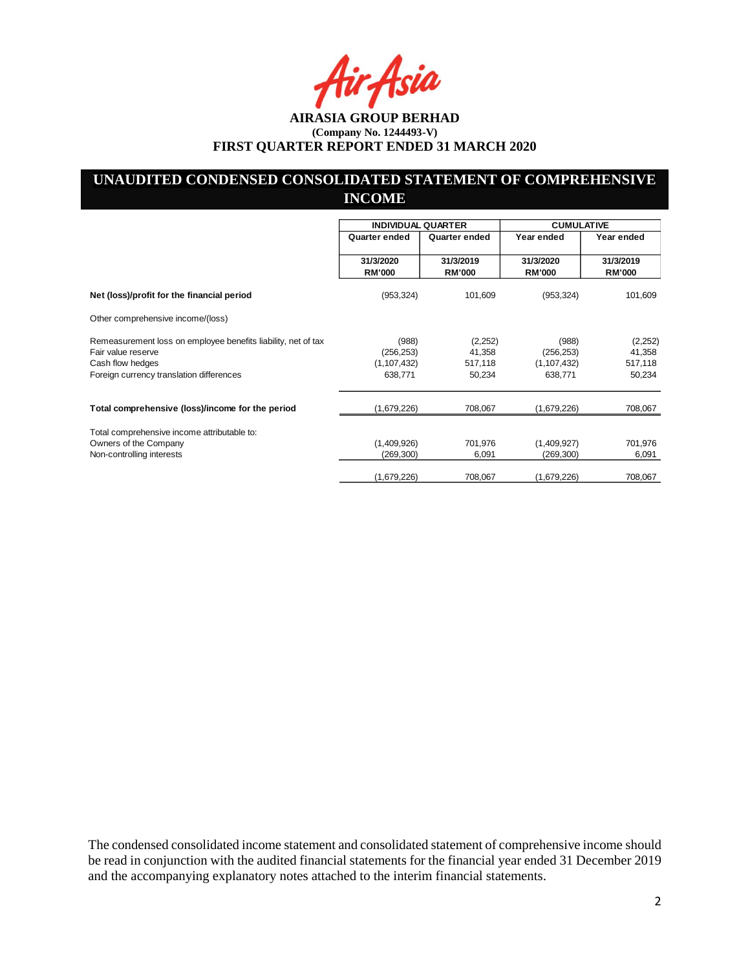# **UNAUDITED CONDENSED CONSOLIDATED STATEMENT OF COMPREHENSIVE INCOME**

|                                                               | <b>INDIVIDUAL QUARTER</b>  |                            | <b>CUMULATIVE</b>          |                            |
|---------------------------------------------------------------|----------------------------|----------------------------|----------------------------|----------------------------|
|                                                               | Quarter ended              | Quarter ended              | Year ended                 | Year ended                 |
|                                                               | 31/3/2020<br><b>RM'000</b> | 31/3/2019<br><b>RM'000</b> | 31/3/2020<br><b>RM'000</b> | 31/3/2019<br><b>RM'000</b> |
| Net (loss)/profit for the financial period                    | (953, 324)                 | 101,609                    | (953, 324)                 | 101,609                    |
| Other comprehensive income/(loss)                             |                            |                            |                            |                            |
| Remeasurement loss on employee benefits liability, net of tax | (988)                      | (2,252)                    | (988)                      | (2,252)                    |
| Fair value reserve                                            | (256, 253)                 | 41,358                     | (256, 253)                 | 41,358                     |
| Cash flow hedges                                              | (1, 107, 432)              | 517,118                    | (1, 107, 432)              | 517,118                    |
| Foreign currency translation differences                      | 638,771                    | 50,234                     | 638,771                    | 50,234                     |
| Total comprehensive (loss)/income for the period              | (1,679,226)                | 708,067                    | (1,679,226)                | 708,067                    |
|                                                               |                            |                            |                            |                            |
| Total comprehensive income attributable to:                   |                            |                            |                            |                            |
| Owners of the Company                                         | (1,409,926)                | 701,976                    | (1,409,927)                | 701,976                    |
| Non-controlling interests                                     | (269, 300)                 | 6,091                      | (269, 300)                 | 6,091                      |
|                                                               | (1,679,226)                | 708,067                    | (1,679,226)                | 708,067                    |

The condensed consolidated income statement and consolidated statement of comprehensive income should be read in conjunction with the audited financial statements for the financial year ended 31 December 2019 and the accompanying explanatory notes attached to the interim financial statements.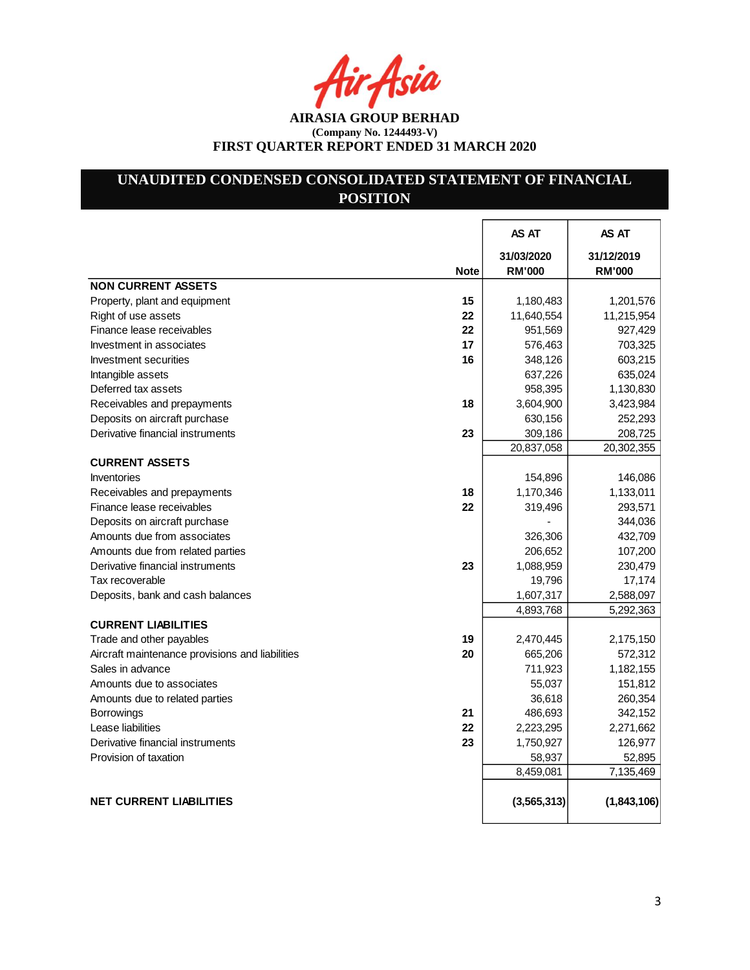r Asia

**AIRASIA GROUP BERHAD (Company No. 1244493-V) FIRST QUARTER REPORT ENDED 31 MARCH 2020**

# **UNAUDITED CONDENSED CONSOLIDATED STATEMENT OF FINANCIAL POSITION**

|                                                       | AS AT         | AS AT         |
|-------------------------------------------------------|---------------|---------------|
|                                                       | 31/03/2020    | 31/12/2019    |
| <b>Note</b>                                           | <b>RM'000</b> | <b>RM'000</b> |
| <b>NON CURRENT ASSETS</b>                             |               |               |
| 15<br>Property, plant and equipment                   | 1,180,483     | 1,201,576     |
| 22<br>Right of use assets                             | 11,640,554    | 11,215,954    |
| 22<br>Finance lease receivables                       | 951,569       | 927,429       |
| 17<br>Investment in associates                        | 576,463       | 703,325       |
| 16<br>Investment securities                           | 348,126       | 603,215       |
| Intangible assets                                     | 637,226       | 635,024       |
| Deferred tax assets                                   | 958,395       | 1,130,830     |
| Receivables and prepayments<br>18                     | 3,604,900     | 3,423,984     |
| Deposits on aircraft purchase                         | 630,156       | 252,293       |
| Derivative financial instruments<br>23                | 309,186       | 208,725       |
|                                                       | 20,837,058    | 20,302,355    |
| <b>CURRENT ASSETS</b>                                 |               |               |
| Inventories                                           | 154,896       | 146,086       |
| 18<br>Receivables and prepayments                     | 1,170,346     | 1,133,011     |
| 22<br>Finance lease receivables                       | 319,496       | 293,571       |
| Deposits on aircraft purchase                         |               | 344,036       |
| Amounts due from associates                           | 326,306       | 432,709       |
| Amounts due from related parties                      | 206,652       | 107,200       |
| Derivative financial instruments<br>23                | 1,088,959     | 230,479       |
| Tax recoverable                                       | 19,796        | 17,174        |
| Deposits, bank and cash balances                      | 1,607,317     | 2,588,097     |
|                                                       | 4,893,768     | 5,292,363     |
| <b>CURRENT LIABILITIES</b>                            |               |               |
| 19<br>Trade and other payables                        | 2,470,445     | 2,175,150     |
| Aircraft maintenance provisions and liabilities<br>20 | 665,206       | 572,312       |
| Sales in advance                                      | 711,923       | 1,182,155     |
| Amounts due to associates                             | 55,037        | 151,812       |
| Amounts due to related parties                        | 36,618        | 260,354       |
| 21<br><b>Borrowings</b>                               | 486,693       | 342,152       |
| Lease liabilities<br>22                               | 2,223,295     | 2,271,662     |
| 23<br>Derivative financial instruments                | 1,750,927     | 126,977       |
| Provision of taxation                                 | 58,937        | 52,895        |
|                                                       | 8,459,081     | 7,135,469     |
|                                                       |               |               |
| <b>NET CURRENT LIABILITIES</b>                        | (3, 565, 313) | (1,843,106)   |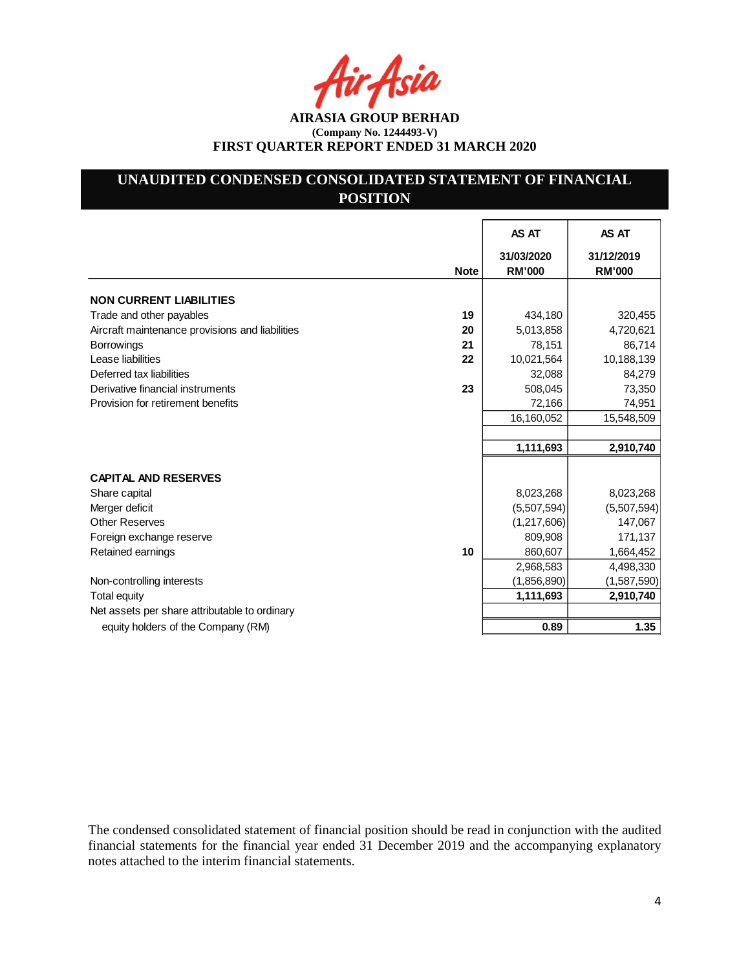Asia

**AIRASIA GROUP BERHAD (Company No. 1244493-V) FIRST QUARTER REPORT ENDED 31 MARCH 2020**

# **UNAUDITED CONDENSED CONSOLIDATED STATEMENT OF FINANCIAL POSITION**

|                                                       | AS AT                       | AS AT                       |
|-------------------------------------------------------|-----------------------------|-----------------------------|
| <b>Note</b>                                           | 31/03/2020<br><b>RM'000</b> | 31/12/2019<br><b>RM'000</b> |
| <b>NON CURRENT LIABILITIES</b>                        |                             |                             |
| 19<br>Trade and other payables                        | 434,180                     | 320,455                     |
| 20<br>Aircraft maintenance provisions and liabilities | 5,013,858                   | 4,720,621                   |
| <b>Borrowings</b><br>21                               | 78,151                      | 86,714                      |
| Lease liabilities<br>22                               | 10,021,564                  | 10,188,139                  |
| Deferred tax liabilities                              | 32,088                      | 84,279                      |
| Derivative financial instruments<br>23                | 508,045                     | 73,350                      |
| Provision for retirement benefits                     | 72,166                      | 74,951                      |
|                                                       | 16,160,052                  | 15,548,509                  |
|                                                       |                             |                             |
|                                                       | 1,111,693                   | 2,910,740                   |
|                                                       |                             |                             |
| <b>CAPITAL AND RESERVES</b>                           |                             |                             |
| Share capital                                         | 8,023,268                   | 8,023,268                   |
| Merger deficit                                        | (5,507,594)                 | (5,507,594)                 |
| <b>Other Reserves</b>                                 | (1,217,606)                 | 147,067                     |
| Foreign exchange reserve                              | 809,908                     | 171,137                     |
| Retained earnings<br>10                               | 860,607                     | 1,664,452                   |
|                                                       | 2,968,583                   | 4,498,330                   |
| Non-controlling interests                             | (1,856,890)                 | (1,587,590)                 |
| Total equity                                          | 1,111,693                   | 2,910,740                   |
| Net assets per share attributable to ordinary         |                             |                             |
| equity holders of the Company (RM)                    | 0.89                        | 1.35                        |

The condensed consolidated statement of financial position should be read in conjunction with the audited financial statements for the financial year ended 31 December 2019 and the accompanying explanatory notes attached to the interim financial statements.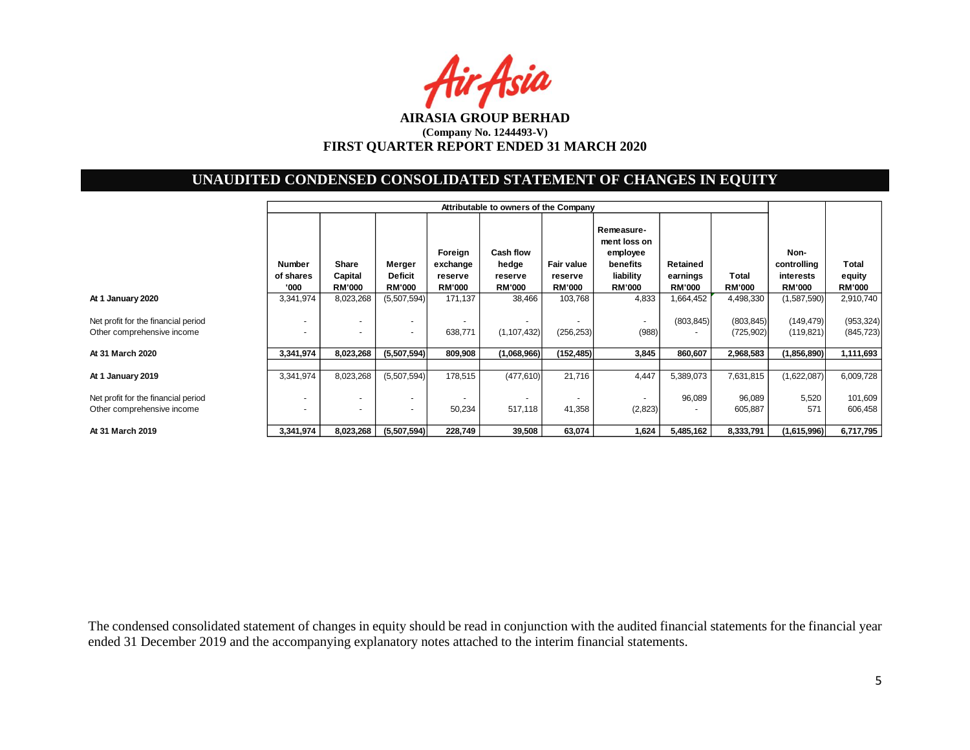Air Asia

# **UNAUDITED CONDENSED CONSOLIDATED STATEMENT OF CHANGES IN EQUITY**

|                                                                   | Attributable to owners of the Company                |                                   |                                           |                                                 |                                                       |                                        |                                                                                  |                                       |                          |                                                   |                                  |
|-------------------------------------------------------------------|------------------------------------------------------|-----------------------------------|-------------------------------------------|-------------------------------------------------|-------------------------------------------------------|----------------------------------------|----------------------------------------------------------------------------------|---------------------------------------|--------------------------|---------------------------------------------------|----------------------------------|
|                                                                   | <b>Number</b><br>of shares<br>'000                   | Share<br>Capital<br><b>RM'000</b> | Merger<br><b>Deficit</b><br><b>RM'000</b> | Foreign<br>exchange<br>reserve<br><b>RM'000</b> | <b>Cash flow</b><br>hedge<br>reserve<br><b>RM'000</b> | Fair value<br>reserve<br><b>RM'000</b> | Remeasure-<br>ment loss on<br>employee<br>benefits<br>liability<br><b>RM'000</b> | Retained<br>earnings<br><b>RM'000</b> | Total<br><b>RM'000</b>   | Non-<br>controlling<br>interests<br><b>RM'000</b> | Total<br>equity<br><b>RM'000</b> |
| At 1 January 2020                                                 | 3,341,974                                            | 8,023,268                         | (5,507,594)                               | 171,137                                         | 38,466                                                | 103,768                                | 4,833                                                                            | 1,664,452                             | 4,498,330                | (1,587,590)                                       | 2,910,740                        |
| Net profit for the financial period<br>Other comprehensive income |                                                      |                                   | $\overline{\phantom{a}}$                  | 638,771                                         | ۰<br>(1, 107, 432)                                    | (256, 253)                             | $\overline{\phantom{a}}$<br>(988)                                                | (803, 845)                            | (803, 845)<br>(725, 902) | (149, 479)<br>(119, 821)                          | (953, 324)<br>(845, 723)         |
| At 31 March 2020                                                  | 3,341,974                                            | 8,023,268                         | (5,507,594)                               | 809,908                                         | (1,068,966)                                           | (152, 485)                             | 3,845                                                                            | 860,607                               | 2,968,583                | (1,856,890)                                       | 1,111,693                        |
| At 1 January 2019                                                 | 3,341,974                                            | 8,023,268                         | (5,507,594)                               | 178,515                                         | (477, 610)                                            | 21,716                                 | 4,447                                                                            | 5,389,073                             | 7,631,815                | (1,622,087)                                       | 6,009,728                        |
| Net profit for the financial period<br>Other comprehensive income | $\overline{\phantom{a}}$<br>$\overline{\phantom{a}}$ | $\overline{\phantom{0}}$          | $\overline{\phantom{a}}$                  | 50,234                                          | $\overline{\phantom{a}}$<br>517,118                   | 41,358                                 | ٠<br>(2,823)                                                                     | 96,089                                | 96,089<br>605,887        | 5,520<br>571                                      | 101,609<br>606,458               |
| At 31 March 2019                                                  | 3,341,974                                            | 8,023,268                         | (5,507,594)                               | 228,749                                         | 39,508                                                | 63.074                                 | 1,624                                                                            | 5,485,162                             | 8,333,791                | (1,615,996)                                       | 6,717,795                        |

The condensed consolidated statement of changes in equity should be read in conjunction with the audited financial statements for the financial year ended 31 December 2019 and the accompanying explanatory notes attached to the interim financial statements.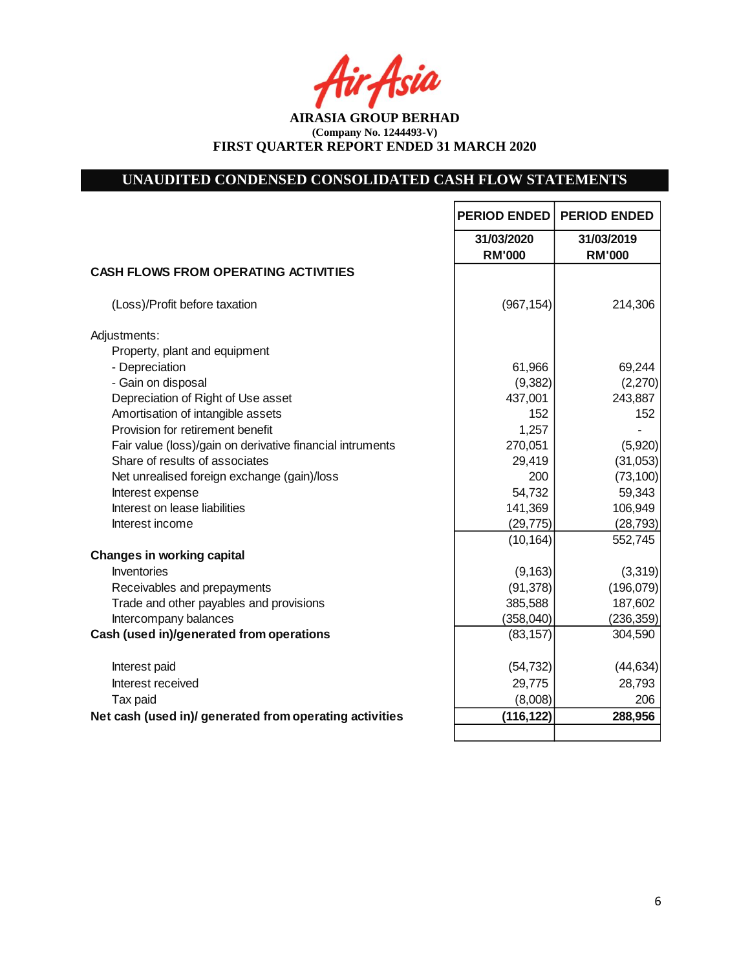fir Asia

**AIRASIA GROUP BERHAD (Company No. 1244493-V) FIRST QUARTER REPORT ENDED 31 MARCH 2020**

# **UNAUDITED CONDENSED CONSOLIDATED CASH FLOW STATEMENTS**

|                                                           | <b>PERIOD ENDED</b>         | <b>PERIOD ENDED</b>         |
|-----------------------------------------------------------|-----------------------------|-----------------------------|
|                                                           | 31/03/2020<br><b>RM'000</b> | 31/03/2019<br><b>RM'000</b> |
| <b>CASH FLOWS FROM OPERATING ACTIVITIES</b>               |                             |                             |
| (Loss)/Profit before taxation                             | (967, 154)                  | 214,306                     |
| Adjustments:                                              |                             |                             |
| Property, plant and equipment                             |                             |                             |
| - Depreciation                                            | 61,966                      | 69,244                      |
| - Gain on disposal                                        | (9,382)                     | (2,270)                     |
| Depreciation of Right of Use asset                        | 437,001                     | 243,887                     |
| Amortisation of intangible assets                         | 152                         | 152                         |
| Provision for retirement benefit                          | 1,257                       |                             |
| Fair value (loss)/gain on derivative financial intruments | 270,051                     | (5,920)                     |
| Share of results of associates                            | 29,419                      | (31,053)                    |
| Net unrealised foreign exchange (gain)/loss               | 200                         | (73, 100)                   |
| Interest expense<br>Interest on lease liabilities         | 54,732                      | 59,343<br>106,949           |
| Interest income                                           | 141,369<br>(29, 775)        | (28, 793)                   |
|                                                           | (10, 164)                   | 552,745                     |
| <b>Changes in working capital</b>                         |                             |                             |
| <b>Inventories</b>                                        | (9, 163)                    | (3,319)                     |
| Receivables and prepayments                               | (91, 378)                   | (196,079)                   |
| Trade and other payables and provisions                   | 385,588                     | 187,602                     |
| Intercompany balances                                     | (358, 040)                  | (236, 359)                  |
| Cash (used in)/generated from operations                  | (83, 157)                   | 304,590                     |
|                                                           |                             |                             |
| Interest paid                                             | (54, 732)                   | (44, 634)                   |
| Interest received                                         | 29,775                      | 28,793                      |
| Tax paid                                                  | (8,008)                     | 206                         |
| Net cash (used in)/ generated from operating activities   | (116, 122)                  | 288,956                     |
|                                                           |                             |                             |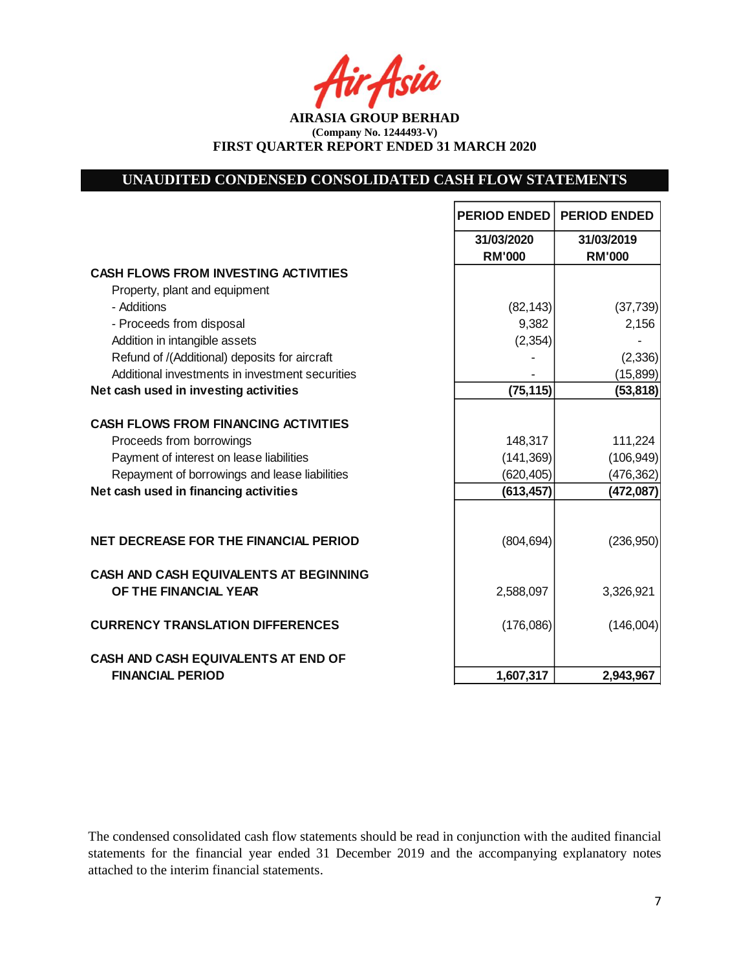Asia

**AIRASIA GROUP BERHAD (Company No. 1244493-V) FIRST QUARTER REPORT ENDED 31 MARCH 2020**

# **UNAUDITED CONDENSED CONSOLIDATED CASH FLOW STATEMENTS**

|                                                 | <b>PERIOD ENDED</b> | <b>PERIOD ENDED</b> |
|-------------------------------------------------|---------------------|---------------------|
|                                                 | 31/03/2020          | 31/03/2019          |
|                                                 | <b>RM'000</b>       | <b>RM'000</b>       |
| <b>CASH FLOWS FROM INVESTING ACTIVITIES</b>     |                     |                     |
| Property, plant and equipment                   |                     |                     |
| - Additions                                     | (82, 143)           | (37, 739)           |
| - Proceeds from disposal                        | 9,382               | 2,156               |
| Addition in intangible assets                   | (2, 354)            |                     |
| Refund of /(Additional) deposits for aircraft   |                     | (2, 336)            |
| Additional investments in investment securities |                     | (15, 899)           |
| Net cash used in investing activities           | (75, 115)           | (53, 818)           |
| <b>CASH FLOWS FROM FINANCING ACTIVITIES</b>     |                     |                     |
| Proceeds from borrowings                        | 148,317             | 111,224             |
| Payment of interest on lease liabilities        | (141, 369)          | (106, 949)          |
| Repayment of borrowings and lease liabilities   | (620, 405)          | (476, 362)          |
| Net cash used in financing activities           | (613, 457)          | (472,087)           |
|                                                 |                     |                     |
| <b>NET DECREASE FOR THE FINANCIAL PERIOD</b>    | (804, 694)          | (236,950)           |
| <b>CASH AND CASH EQUIVALENTS AT BEGINNING</b>   |                     |                     |
| OF THE FINANCIAL YEAR                           | 2,588,097           | 3,326,921           |
| <b>CURRENCY TRANSLATION DIFFERENCES</b>         | (176,086)           | (146,004)           |
| <b>CASH AND CASH EQUIVALENTS AT END OF</b>      |                     |                     |
| <b>FINANCIAL PERIOD</b>                         | 1,607,317           | 2,943,967           |

The condensed consolidated cash flow statements should be read in conjunction with the audited financial statements for the financial year ended 31 December 2019 and the accompanying explanatory notes attached to the interim financial statements.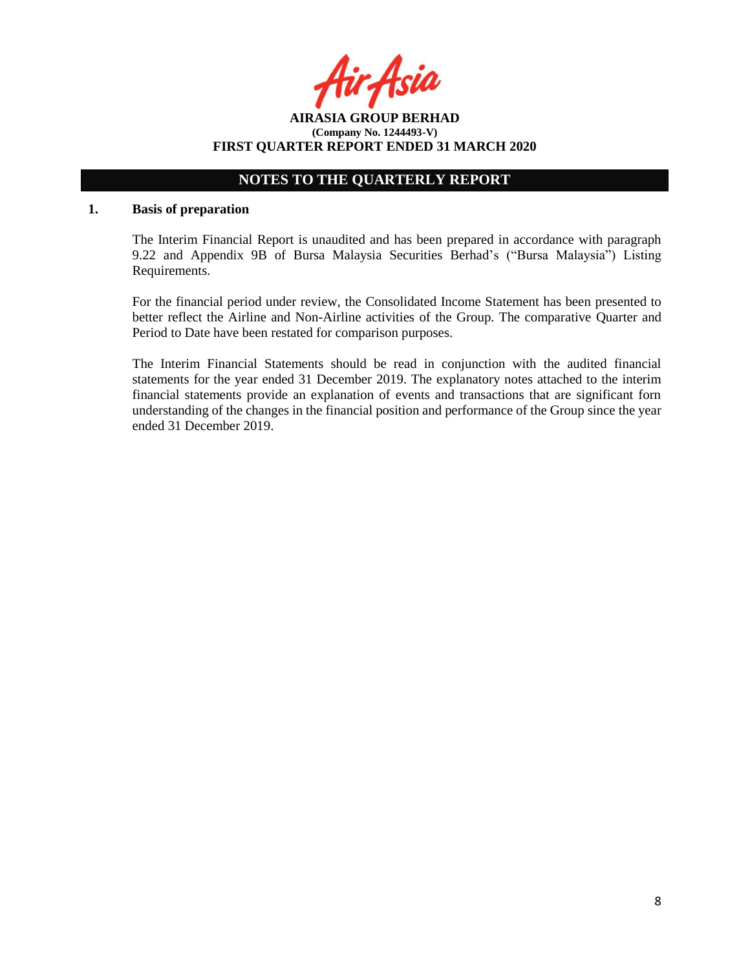**AIRASIA GROUP BERHAD (Company No. 1244493-V) FIRST QUARTER REPORT ENDED 31 MARCH 2020**

# **NOTES TO THE QUARTERLY REPORT**

#### **1. Basis of preparation**

The Interim Financial Report is unaudited and has been prepared in accordance with paragraph 9.22 and Appendix 9B of Bursa Malaysia Securities Berhad's ("Bursa Malaysia") Listing Requirements.

For the financial period under review, the Consolidated Income Statement has been presented to better reflect the Airline and Non-Airline activities of the Group. The comparative Quarter and Period to Date have been restated for comparison purposes.

The Interim Financial Statements should be read in conjunction with the audited financial statements for the year ended 31 December 2019. The explanatory notes attached to the interim financial statements provide an explanation of events and transactions that are significant forn understanding of the changes in the financial position and performance of the Group since the year ended 31 December 2019.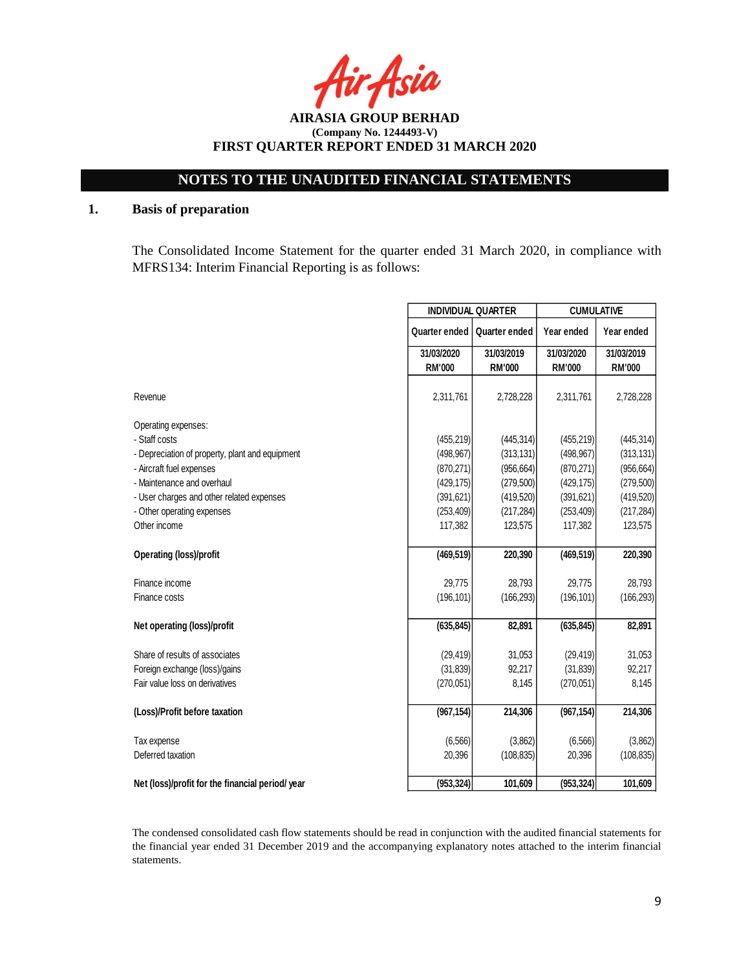Asia

**AIRASIA GROUP BERHAD (Company No. 1244493-V) FIRST QUARTER REPORT ENDED 31 MARCH 2020**

## **1. Basis of preparation**

The Consolidated Income Statement for the quarter ended 31 March 2020, in compliance with MFRS134: Interim Financial Reporting is as follows:

|                                                  | <b>INDIVIDUAL QUARTER</b> |               | <b>CUMULATIVE</b> |               |  |
|--------------------------------------------------|---------------------------|---------------|-------------------|---------------|--|
|                                                  | Quarter ended             | Quarter ended | Year ended        | Year ended    |  |
|                                                  | 31/03/2020                | 31/03/2019    | 31/03/2020        | 31/03/2019    |  |
|                                                  | <b>RM'000</b>             | <b>RM'000</b> | <b>RM'000</b>     | <b>RM'000</b> |  |
| Revenue                                          | 2,311,761                 | 2,728,228     | 2,311,761         | 2,728,228     |  |
| Operating expenses:                              |                           |               |                   |               |  |
| - Staff costs                                    | (455, 219)                | (445, 314)    | (455, 219)        | (445, 314)    |  |
| - Depreciation of property, plant and equipment  | (498, 967)                | (313, 131)    | (498, 967)        | (313, 131)    |  |
| - Aircraft fuel expenses                         | (870, 271)                | (956, 664)    | (870, 271)        | (956, 664)    |  |
| - Maintenance and overhaul                       | (429, 175)                | (279, 500)    | (429, 175)        | (279, 500)    |  |
| - User charges and other related expenses        | (391, 621)                | (419, 520)    | (391, 621)        | (419,520)     |  |
| - Other operating expenses                       | (253, 409)                | (217, 284)    | (253, 409)        | (217, 284)    |  |
| Other income                                     | 117,382                   | 123,575       | 117,382           | 123,575       |  |
| <b>Operating (loss)/profit</b>                   | (469, 519)                | 220,390       | (469, 519)        | 220,390       |  |
| Finance income                                   | 29,775                    | 28,793        | 29,775            | 28,793        |  |
| Finance costs                                    | (196, 101)                | (166, 293)    | (196, 101)        | (166, 293)    |  |
| Net operating (loss)/profit                      | (635, 845)                | 82,891        | (635, 845)        | 82,891        |  |
|                                                  |                           |               |                   |               |  |
| Share of results of associates                   | (29, 419)                 | 31,053        | (29, 419)         | 31,053        |  |
| Foreign exchange (loss)/gains                    | (31, 839)                 | 92,217        | (31, 839)         | 92,217        |  |
| Fair value loss on derivatives                   | (270,051)                 | 8,145         | (270,051)         | 8,145         |  |
| (Loss)/Profit before taxation                    | (967, 154)                | 214,306       | (967, 154)        | 214,306       |  |
| Tax expense                                      | (6, 566)                  | (3,862)       | (6, 566)          | (3,862)       |  |
| Deferred taxation                                | 20,396                    | (108, 835)    | 20,396            | (108, 835)    |  |
| Net (loss)/profit for the financial period/ year | (953, 324)                | 101,609       | (953, 324)        | 101,609       |  |

The condensed consolidated cash flow statements should be read in conjunction with the audited financial statements for the financial year ended 31 December 2019 and the accompanying explanatory notes attached to the interim financial statements.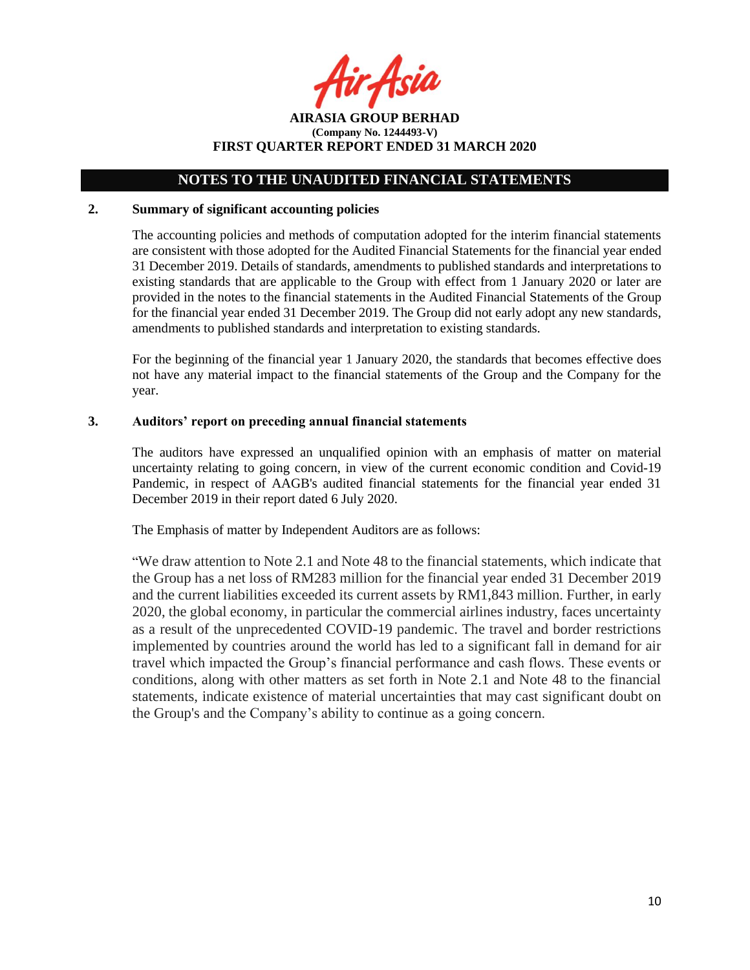**AIRASIA GROUP BERHAD (Company No. 1244493-V) FIRST QUARTER REPORT ENDED 31 MARCH 2020**

### **2. Summary of significant accounting policies**

The accounting policies and methods of computation adopted for the interim financial statements are consistent with those adopted for the Audited Financial Statements for the financial year ended 31 December 2019. Details of standards, amendments to published standards and interpretations to existing standards that are applicable to the Group with effect from 1 January 2020 or later are provided in the notes to the financial statements in the Audited Financial Statements of the Group for the financial year ended 31 December 2019. The Group did not early adopt any new standards, amendments to published standards and interpretation to existing standards.

For the beginning of the financial year 1 January 2020, the standards that becomes effective does not have any material impact to the financial statements of the Group and the Company for the year.

### **3. Auditors' report on preceding annual financial statements**

The auditors have expressed an unqualified opinion with an emphasis of matter on material uncertainty relating to going concern, in view of the current economic condition and Covid-19 Pandemic, in respect of AAGB's audited financial statements for the financial year ended 31 December 2019 in their report dated 6 July 2020.

The Emphasis of matter by Independent Auditors are as follows:

"We draw attention to Note 2.1 and Note 48 to the financial statements, which indicate that the Group has a net loss of RM283 million for the financial year ended 31 December 2019 and the current liabilities exceeded its current assets by RM1,843 million. Further, in early 2020, the global economy, in particular the commercial airlines industry, faces uncertainty as a result of the unprecedented COVID-19 pandemic. The travel and border restrictions implemented by countries around the world has led to a significant fall in demand for air travel which impacted the Group's financial performance and cash flows. These events or conditions, along with other matters as set forth in Note 2.1 and Note 48 to the financial statements, indicate existence of material uncertainties that may cast significant doubt on the Group's and the Company's ability to continue as a going concern.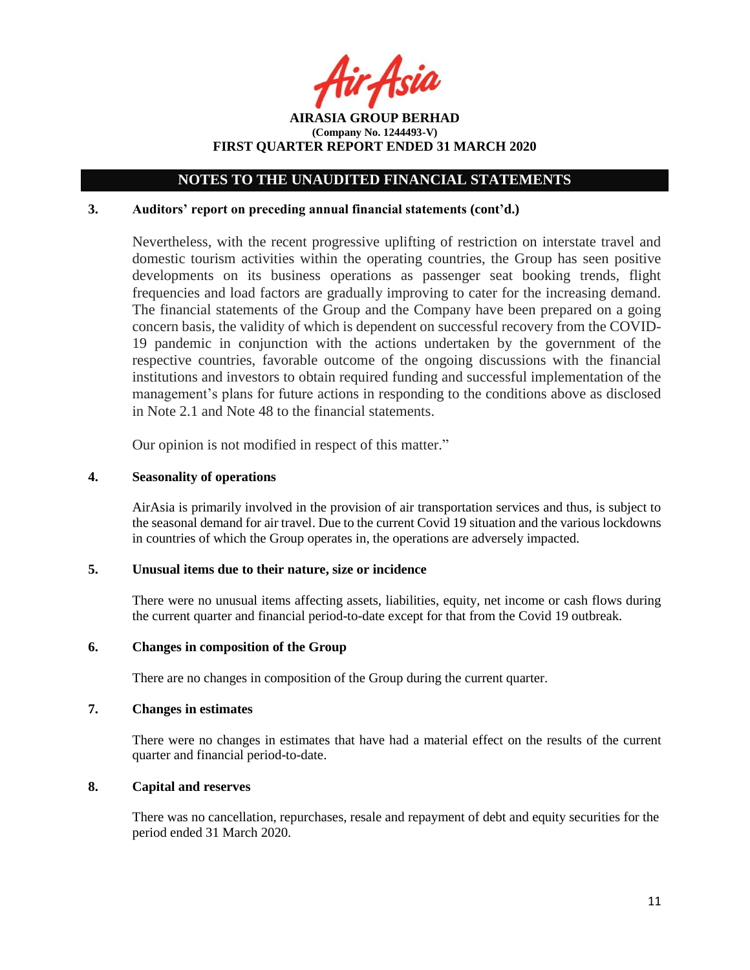r Asia

**AIRASIA GROUP BERHAD (Company No. 1244493-V) FIRST QUARTER REPORT ENDED 31 MARCH 2020**

### **3. Auditors' report on preceding annual financial statements (cont'd.)**

Nevertheless, with the recent progressive uplifting of restriction on interstate travel and domestic tourism activities within the operating countries, the Group has seen positive developments on its business operations as passenger seat booking trends, flight frequencies and load factors are gradually improving to cater for the increasing demand. The financial statements of the Group and the Company have been prepared on a going concern basis, the validity of which is dependent on successful recovery from the COVID-19 pandemic in conjunction with the actions undertaken by the government of the respective countries, favorable outcome of the ongoing discussions with the financial institutions and investors to obtain required funding and successful implementation of the management's plans for future actions in responding to the conditions above as disclosed in Note 2.1 and Note 48 to the financial statements.

Our opinion is not modified in respect of this matter."

### **4. Seasonality of operations**

AirAsia is primarily involved in the provision of air transportation services and thus, is subject to the seasonal demand for air travel. Due to the current Covid 19 situation and the various lockdowns in countries of which the Group operates in, the operations are adversely impacted.

### **5. Unusual items due to their nature, size or incidence**

There were no unusual items affecting assets, liabilities, equity, net income or cash flows during the current quarter and financial period-to-date except for that from the Covid 19 outbreak.

### **6. Changes in composition of the Group**

There are no changes in composition of the Group during the current quarter.

### **7. Changes in estimates**

There were no changes in estimates that have had a material effect on the results of the current quarter and financial period-to-date.

#### **8. Capital and reserves**

There was no cancellation, repurchases, resale and repayment of debt and equity securities for the period ended 31 March 2020.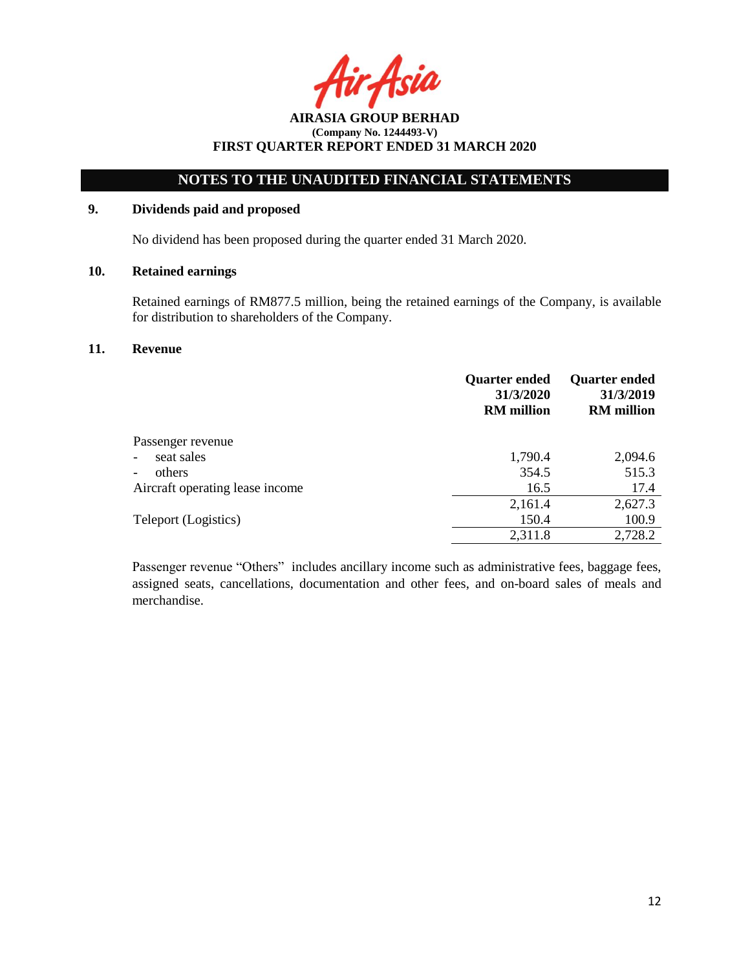Asia

# **NOTES TO THE UNAUDITED FINANCIAL STATEMENTS**

## **9. Dividends paid and proposed**

No dividend has been proposed during the quarter ended 31 March 2020.

## **10. Retained earnings**

Retained earnings of RM877.5 million, being the retained earnings of the Company, is available for distribution to shareholders of the Company.

### **11. Revenue**

|                                 | <b>Quarter ended</b><br>31/3/2020<br><b>RM</b> million | <b>Quarter ended</b><br>31/3/2019<br><b>RM</b> million |
|---------------------------------|--------------------------------------------------------|--------------------------------------------------------|
| Passenger revenue               |                                                        |                                                        |
| seat sales                      | 1,790.4                                                | 2,094.6                                                |
| others                          | 354.5                                                  | 515.3                                                  |
| Aircraft operating lease income | 16.5                                                   | 17.4                                                   |
|                                 | 2,161.4                                                | 2,627.3                                                |
| Teleport (Logistics)            | 150.4                                                  | 100.9                                                  |
|                                 | 2,311.8                                                | 2,728.2                                                |

Passenger revenue "Others" includes ancillary income such as administrative fees, baggage fees, assigned seats, cancellations, documentation and other fees, and on-board sales of meals and merchandise.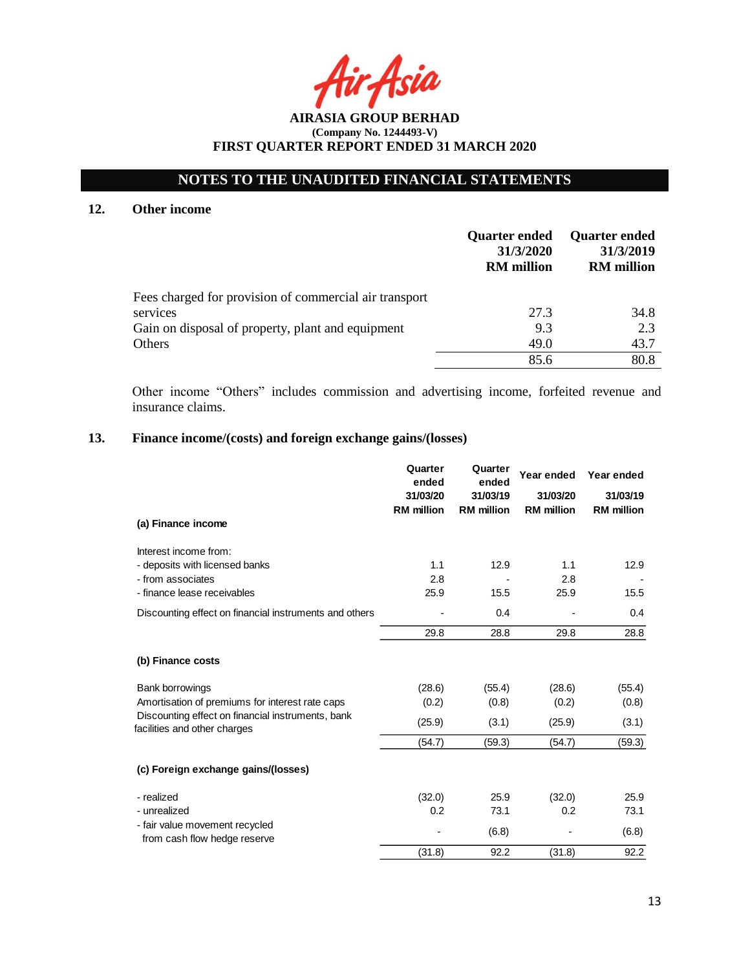# **NOTES TO THE UNAUDITED FINANCIAL STATEMENTS**

### **12. Other income**

|                                                        | <b>Quarter ended</b><br>31/3/2020<br><b>RM</b> million | <b>Quarter ended</b><br>31/3/2019<br><b>RM</b> million |
|--------------------------------------------------------|--------------------------------------------------------|--------------------------------------------------------|
| Fees charged for provision of commercial air transport |                                                        |                                                        |
| services                                               | 27.3                                                   | 34.8                                                   |
| Gain on disposal of property, plant and equipment      | 9.3                                                    | 2.3                                                    |
| Others                                                 | 49.0                                                   | 43.7                                                   |
|                                                        | 85.6                                                   | 80.8                                                   |

Other income "Others" includes commission and advertising income, forfeited revenue and insurance claims.

## **13. Finance income/(costs) and foreign exchange gains/(losses)**

|                                                                                   | Quarter<br>ended<br>31/03/20<br><b>RM</b> million | Quarter<br>ended<br>31/03/19<br><b>RM</b> million | Year ended<br>31/03/20<br><b>RM</b> million | Year ended<br>31/03/19<br><b>RM</b> million |
|-----------------------------------------------------------------------------------|---------------------------------------------------|---------------------------------------------------|---------------------------------------------|---------------------------------------------|
| (a) Finance income                                                                |                                                   |                                                   |                                             |                                             |
| Interest income from:                                                             |                                                   |                                                   |                                             |                                             |
| - deposits with licensed banks                                                    | 1.1                                               | 12.9                                              | 1.1                                         | 12.9                                        |
| - from associates                                                                 | 2.8                                               |                                                   | 2.8                                         |                                             |
| - finance lease receivables                                                       | 25.9                                              | 15.5                                              | 25.9                                        | 15.5                                        |
| Discounting effect on financial instruments and others                            |                                                   | 0.4                                               |                                             | 0.4                                         |
|                                                                                   | 29.8                                              | 28.8                                              | 29.8                                        | 28.8                                        |
| (b) Finance costs                                                                 |                                                   |                                                   |                                             |                                             |
| Bank borrowings                                                                   | (28.6)                                            | (55.4)                                            | (28.6)                                      | (55.4)                                      |
| Amortisation of premiums for interest rate caps                                   | (0.2)                                             | (0.8)                                             | (0.2)                                       | (0.8)                                       |
| Discounting effect on financial instruments, bank<br>facilities and other charges | (25.9)                                            | (3.1)                                             | (25.9)                                      | (3.1)                                       |
|                                                                                   | (54.7)                                            | (59.3)                                            | (54.7)                                      | (59.3)                                      |
| (c) Foreign exchange gains/(losses)                                               |                                                   |                                                   |                                             |                                             |
| - realized                                                                        | (32.0)                                            | 25.9                                              | (32.0)                                      | 25.9                                        |
| - unrealized                                                                      | 0.2                                               | 73.1                                              | 0.2                                         | 73.1                                        |
| - fair value movement recycled<br>from cash flow hedge reserve                    |                                                   | (6.8)                                             |                                             | (6.8)                                       |
|                                                                                   | (31.8)                                            | 92.2                                              | (31.8)                                      | 92.2                                        |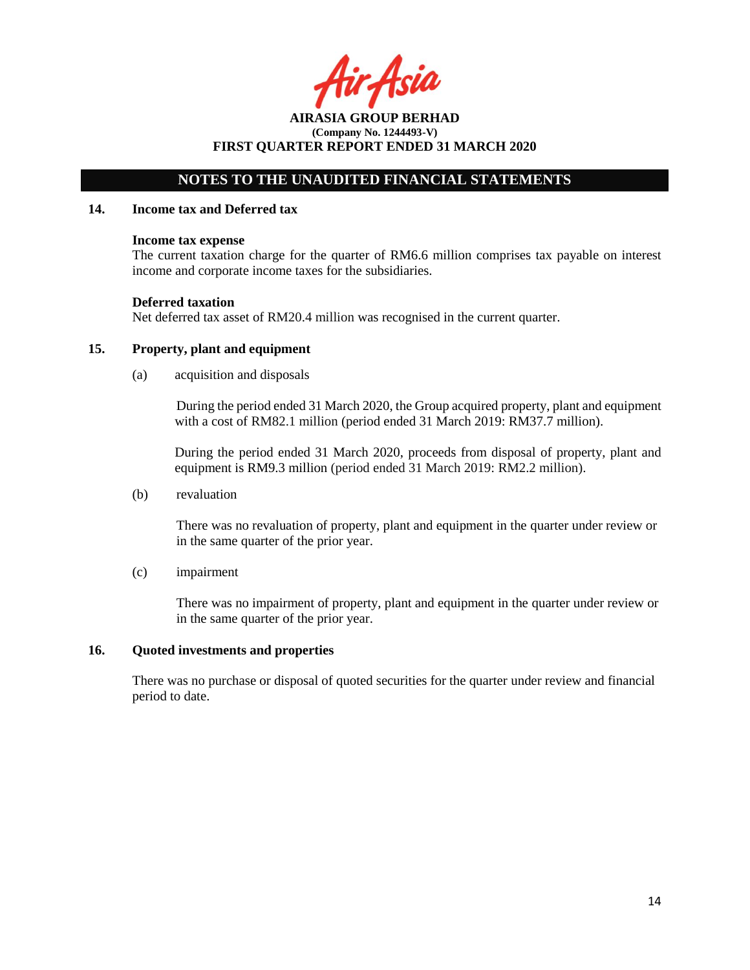r Asia

**AIRASIA GROUP BERHAD (Company No. 1244493-V) FIRST QUARTER REPORT ENDED 31 MARCH 2020**

#### **14. Income tax and Deferred tax**

#### **Income tax expense**

The current taxation charge for the quarter of RM6.6 million comprises tax payable on interest income and corporate income taxes for the subsidiaries.

#### **Deferred taxation**

Net deferred tax asset of RM20.4 million was recognised in the current quarter.

### **15. Property, plant and equipment**

(a) acquisition and disposals

During the period ended 31 March 2020, the Group acquired property, plant and equipment with a cost of RM82.1 million (period ended 31 March 2019: RM37.7 million).

During the period ended 31 March 2020, proceeds from disposal of property, plant and equipment is RM9.3 million (period ended 31 March 2019: RM2.2 million).

(b) revaluation

There was no revaluation of property, plant and equipment in the quarter under review or in the same quarter of the prior year.

(c) impairment

There was no impairment of property, plant and equipment in the quarter under review or in the same quarter of the prior year.

#### **16. Quoted investments and properties**

There was no purchase or disposal of quoted securities for the quarter under review and financial period to date.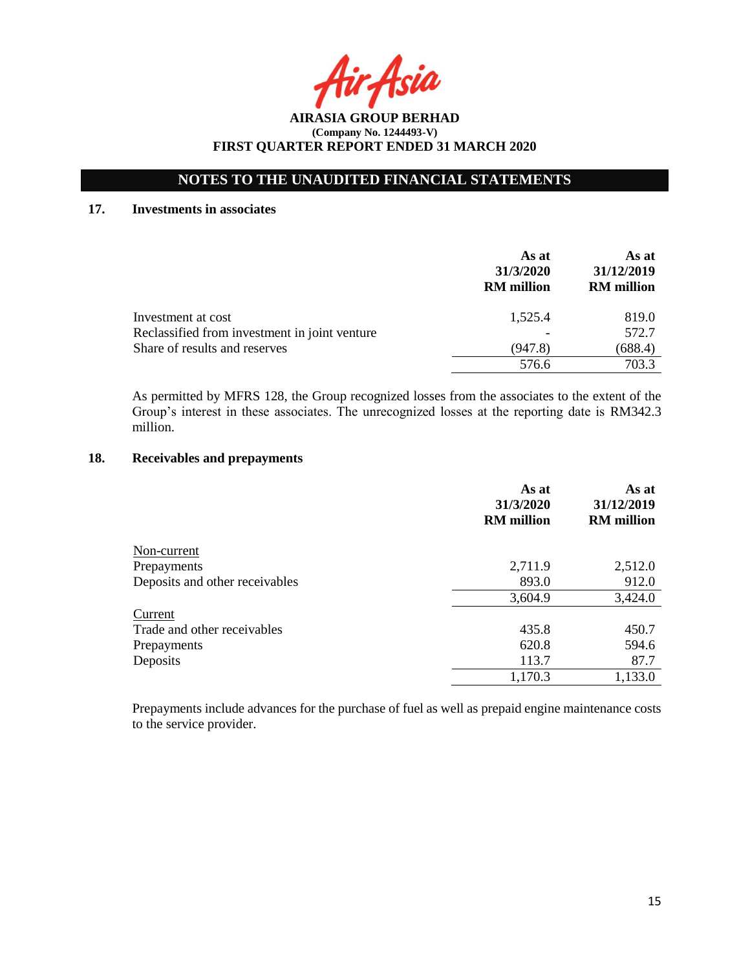Asia

# **NOTES TO THE UNAUDITED FINANCIAL STATEMENTS**

## **17. Investments in associates**

|                                               | As at<br>31/3/2020<br><b>RM</b> million | As at<br>31/12/2019<br><b>RM</b> million |
|-----------------------------------------------|-----------------------------------------|------------------------------------------|
| Investment at cost                            | 1,525.4                                 | 819.0                                    |
| Reclassified from investment in joint venture |                                         | 572.7                                    |
| Share of results and reserves                 | (947.8)                                 | (688.4)                                  |
|                                               | 576.6                                   | 703.3                                    |

As permitted by MFRS 128, the Group recognized losses from the associates to the extent of the Group's interest in these associates. The unrecognized losses at the reporting date is RM342.3 million.

## **18. Receivables and prepayments**

|                                | As at<br>31/3/2020<br><b>RM</b> million | As at<br>31/12/2019<br><b>RM</b> million |
|--------------------------------|-----------------------------------------|------------------------------------------|
| Non-current                    |                                         |                                          |
| Prepayments                    | 2,711.9                                 | 2,512.0                                  |
| Deposits and other receivables | 893.0                                   | 912.0                                    |
|                                | 3,604.9                                 | 3,424.0                                  |
| Current                        |                                         |                                          |
| Trade and other receivables    | 435.8                                   | 450.7                                    |
| Prepayments                    | 620.8                                   | 594.6                                    |
| Deposits                       | 113.7                                   | 87.7                                     |
|                                | 1,170.3                                 | 1,133.0                                  |

Prepayments include advances for the purchase of fuel as well as prepaid engine maintenance costs to the service provider.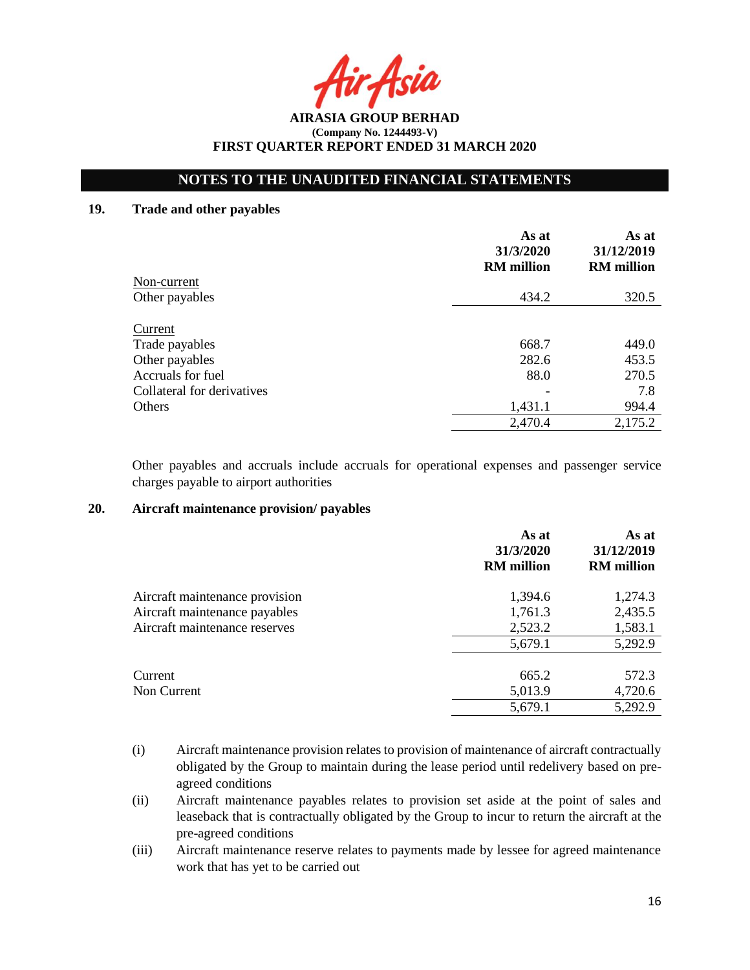Acid

**AIRASIA GROUP BERHAD (Company No. 1244493-V) FIRST QUARTER REPORT ENDED 31 MARCH 2020**

## **19. Trade and other payables**

|                            | As at<br>31/3/2020<br><b>RM</b> million | As at<br>31/12/2019<br><b>RM</b> million |
|----------------------------|-----------------------------------------|------------------------------------------|
| Non-current                |                                         |                                          |
| Other payables             | 434.2                                   | 320.5                                    |
| Current                    |                                         |                                          |
| Trade payables             | 668.7                                   | 449.0                                    |
| Other payables             | 282.6                                   | 453.5                                    |
| Accruals for fuel          | 88.0                                    | 270.5                                    |
| Collateral for derivatives |                                         | 7.8                                      |
| Others                     | 1,431.1                                 | 994.4                                    |
|                            | 2,470.4                                 | 2,175.2                                  |

Other payables and accruals include accruals for operational expenses and passenger service charges payable to airport authorities

### **20. Aircraft maintenance provision/ payables**

|                                | As at<br>31/3/2020<br><b>RM</b> million | As at<br>31/12/2019<br><b>RM</b> million |
|--------------------------------|-----------------------------------------|------------------------------------------|
| Aircraft maintenance provision | 1,394.6                                 | 1,274.3                                  |
| Aircraft maintenance payables  | 1,761.3                                 | 2,435.5                                  |
| Aircraft maintenance reserves  | 2,523.2                                 | 1,583.1                                  |
|                                | 5,679.1                                 | 5,292.9                                  |
| Current                        | 665.2                                   | 572.3                                    |
| Non Current                    | 5,013.9                                 | 4,720.6                                  |
|                                | 5,679.1                                 | 5,292.9                                  |

- (i) Aircraft maintenance provision relates to provision of maintenance of aircraft contractually obligated by the Group to maintain during the lease period until redelivery based on preagreed conditions
- (ii) Aircraft maintenance payables relates to provision set aside at the point of sales and leaseback that is contractually obligated by the Group to incur to return the aircraft at the pre-agreed conditions
- (iii) Aircraft maintenance reserve relates to payments made by lessee for agreed maintenance work that has yet to be carried out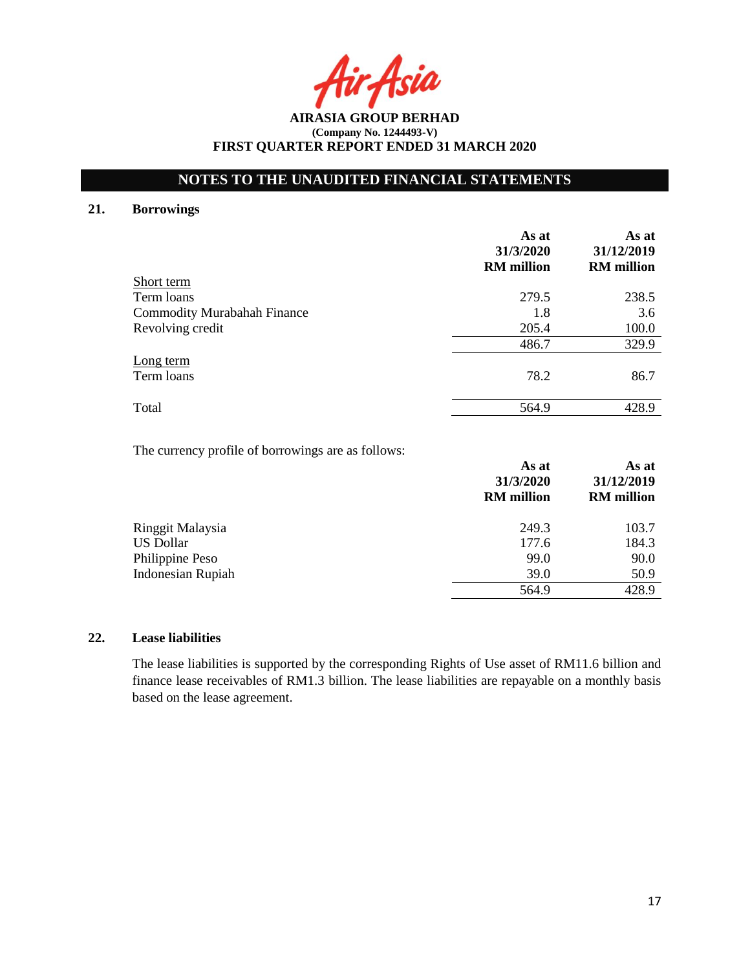Acia

**AIRASIA GROUP BERHAD (Company No. 1244493-V) FIRST QUARTER REPORT ENDED 31 MARCH 2020**

### **21. Borrowings**

|                             | As at<br>31/3/2020<br><b>RM</b> million | As at<br>31/12/2019<br><b>RM</b> million |
|-----------------------------|-----------------------------------------|------------------------------------------|
| Short term                  |                                         |                                          |
| Term loans                  | 279.5                                   | 238.5                                    |
| Commodity Murabahah Finance | 1.8                                     | 3.6                                      |
| Revolving credit            | 205.4                                   | 100.0                                    |
|                             | 486.7                                   | 329.9                                    |
| Long term<br>Term loans     | 78.2                                    | 86.7                                     |
| Total                       | 564.9                                   | 428.9                                    |

The currency profile of borrowings are as follows:

|                          | As at<br>31/3/2020 | As at<br>31/12/2019 |  |
|--------------------------|--------------------|---------------------|--|
|                          | <b>RM</b> million  | <b>RM</b> million   |  |
| Ringgit Malaysia         | 249.3              | 103.7               |  |
| <b>US Dollar</b>         | 177.6              | 184.3               |  |
| Philippine Peso          | 99.0               | 90.0                |  |
| <b>Indonesian Rupiah</b> | 39.0               | 50.9                |  |
|                          | 564.9              | 428.9               |  |

#### **22. Lease liabilities**

The lease liabilities is supported by the corresponding Rights of Use asset of RM11.6 billion and finance lease receivables of RM1.3 billion. The lease liabilities are repayable on a monthly basis based on the lease agreement.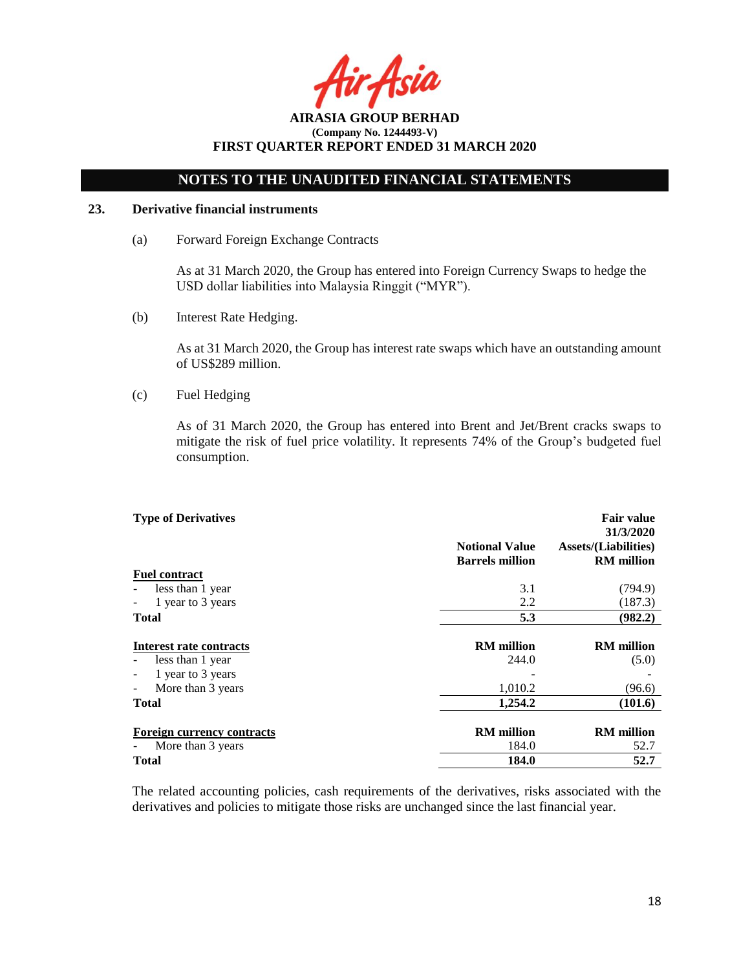Asia

**AIRASIA GROUP BERHAD (Company No. 1244493-V) FIRST QUARTER REPORT ENDED 31 MARCH 2020**

### **23. Derivative financial instruments**

(a) Forward Foreign Exchange Contracts

As at 31 March 2020, the Group has entered into Foreign Currency Swaps to hedge the USD dollar liabilities into Malaysia Ringgit ("MYR").

(b) Interest Rate Hedging.

As at 31 March 2020, the Group has interest rate swaps which have an outstanding amount of US\$289 million.

(c) Fuel Hedging

As of 31 March 2020, the Group has entered into Brent and Jet/Brent cracks swaps to mitigate the risk of fuel price volatility. It represents 74% of the Group's budgeted fuel consumption.

| <b>Type of Derivatives</b>                    |                                                 | <b>Fair value</b><br>31/3/2020                   |
|-----------------------------------------------|-------------------------------------------------|--------------------------------------------------|
|                                               | <b>Notional Value</b><br><b>Barrels million</b> | <b>Assets/(Liabilities)</b><br><b>RM</b> million |
| <b>Fuel contract</b>                          |                                                 |                                                  |
| less than 1 year                              | 3.1                                             | (794.9)                                          |
| 1 year to 3 years<br>$\overline{\phantom{a}}$ | 2.2                                             | (187.3)                                          |
| <b>Total</b>                                  | 5.3                                             | (982.2)                                          |
| Interest rate contracts                       | <b>RM</b> million                               | <b>RM</b> million                                |
| less than 1 year                              | 244.0                                           | (5.0)                                            |
| 1 year to 3 years                             |                                                 |                                                  |
| More than 3 years                             | 1,010.2                                         | (96.6)                                           |
| <b>Total</b>                                  | 1,254.2                                         | (101.6)                                          |
| <b>Foreign currency contracts</b>             | <b>RM</b> million                               | <b>RM</b> million                                |
| More than 3 years                             | 184.0                                           | 52.7                                             |
| Total                                         | 184.0                                           | 52.7                                             |

The related accounting policies, cash requirements of the derivatives, risks associated with the derivatives and policies to mitigate those risks are unchanged since the last financial year.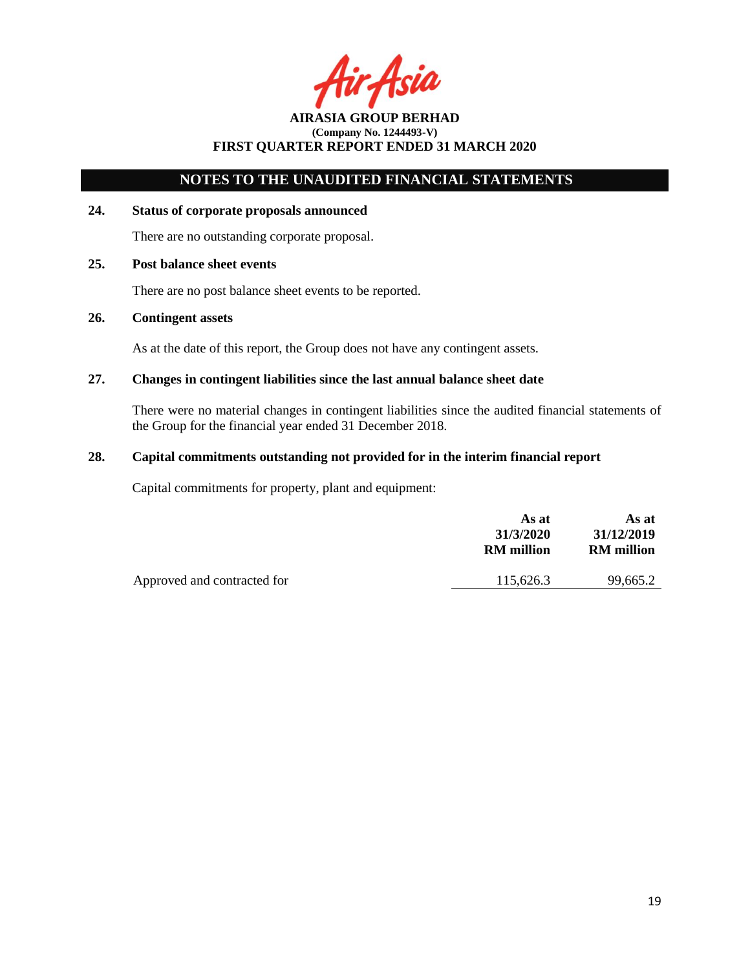Acit

# **NOTES TO THE UNAUDITED FINANCIAL STATEMENTS**

#### **24. Status of corporate proposals announced**

There are no outstanding corporate proposal.

# **25. Post balance sheet events**

There are no post balance sheet events to be reported.

## **26. Contingent assets**

As at the date of this report, the Group does not have any contingent assets.

### **27. Changes in contingent liabilities since the last annual balance sheet date**

There were no material changes in contingent liabilities since the audited financial statements of the Group for the financial year ended 31 December 2018.

### **28. Capital commitments outstanding not provided for in the interim financial report**

Capital commitments for property, plant and equipment:

|                             | As at<br>31/3/2020<br><b>RM</b> million | As at<br>31/12/2019<br><b>RM</b> million |
|-----------------------------|-----------------------------------------|------------------------------------------|
| Approved and contracted for | 115.626.3                               | 99,665.2                                 |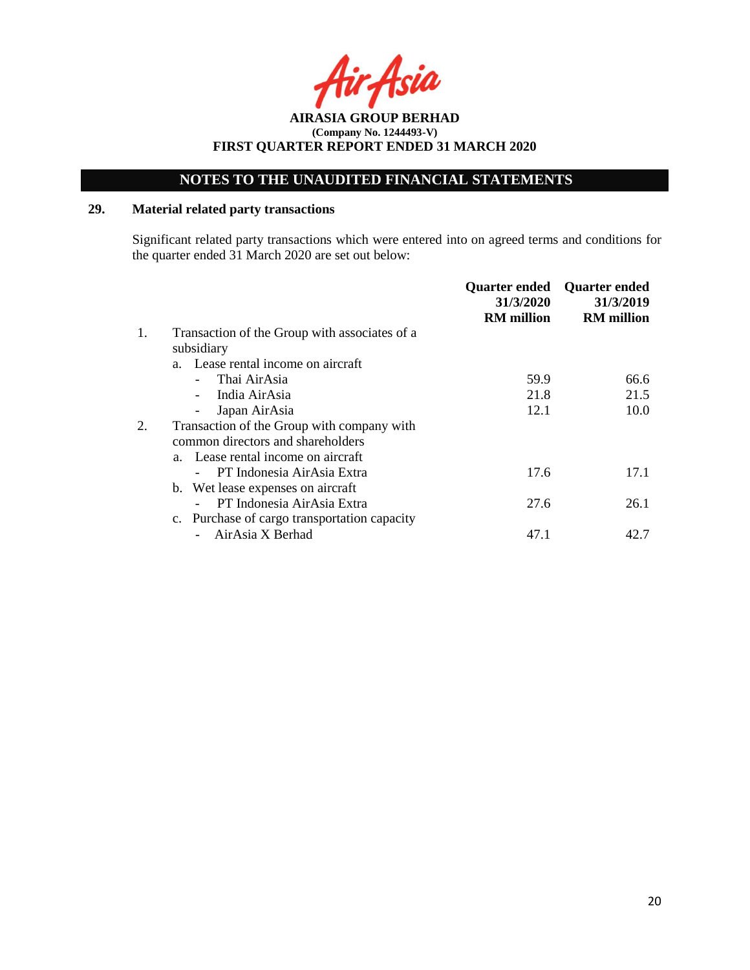**AIRASIA GROUP BERHAD (Company No. 1244493-V) FIRST QUARTER REPORT ENDED 31 MARCH 2020**

## **29. Material related party transactions**

Significant related party transactions which were entered into on agreed terms and conditions for the quarter ended 31 March 2020 are set out below:

|    |                                               | <b>Quarter ended</b><br>31/3/2020<br><b>RM</b> million | <b>Quarter ended</b><br>31/3/2019<br><b>RM</b> million |
|----|-----------------------------------------------|--------------------------------------------------------|--------------------------------------------------------|
| 1. | Transaction of the Group with associates of a |                                                        |                                                        |
|    | subsidiary                                    |                                                        |                                                        |
|    | a. Lease rental income on aircraft            |                                                        |                                                        |
|    | Thai AirAsia                                  | 59.9                                                   | 66.6                                                   |
|    | India AirAsia                                 | 21.8                                                   | 21.5                                                   |
|    | Japan AirAsia<br>-                            | 12.1                                                   | 10.0                                                   |
|    | Transaction of the Group with company with    |                                                        |                                                        |
|    | common directors and shareholders             |                                                        |                                                        |
|    | a. Lease rental income on aircraft            |                                                        |                                                        |
|    | PT Indonesia AirAsia Extra                    | 17.6                                                   | 17.1                                                   |
|    | b. Wet lease expenses on aircraft             |                                                        |                                                        |
|    | PT Indonesia AirAsia Extra                    | 27.6                                                   | 26.1                                                   |
|    | c. Purchase of cargo transportation capacity  |                                                        |                                                        |
|    | AirAsia X Berhad                              | 47.1                                                   | 42.7                                                   |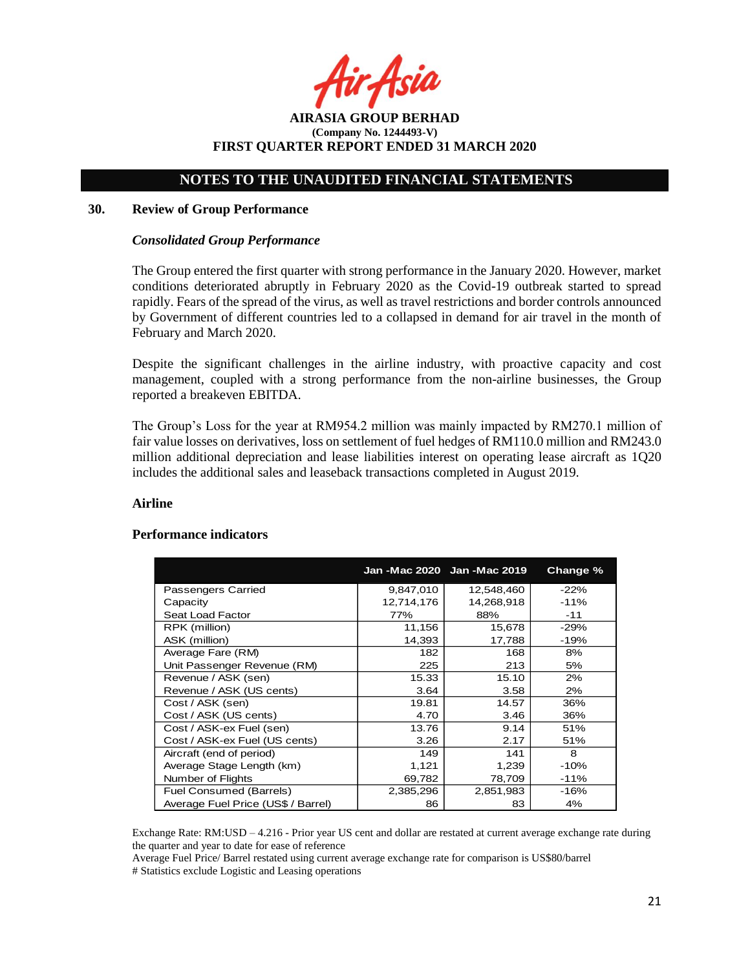Asil

# **NOTES TO THE UNAUDITED FINANCIAL STATEMENTS**

#### **30. Review of Group Performance**

#### *Consolidated Group Performance*

The Group entered the first quarter with strong performance in the January 2020. However, market conditions deteriorated abruptly in February 2020 as the Covid-19 outbreak started to spread rapidly. Fears of the spread of the virus, as well as travel restrictions and border controls announced by Government of different countries led to a collapsed in demand for air travel in the month of February and March 2020.

Despite the significant challenges in the airline industry, with proactive capacity and cost management, coupled with a strong performance from the non-airline businesses, the Group reported a breakeven EBITDA.

The Group's Loss for the year at RM954.2 million was mainly impacted by RM270.1 million of fair value losses on derivatives, loss on settlement of fuel hedges of RM110.0 million and RM243.0 million additional depreciation and lease liabilities interest on operating lease aircraft as 1Q20 includes the additional sales and leaseback transactions completed in August 2019.

#### **Airline**

#### **Performance indicators**

|                                    |            | Jan - Mac 2020 Jan - Mac 2019 | <b>Change %</b> |
|------------------------------------|------------|-------------------------------|-----------------|
| Passengers Carried                 | 9,847,010  | 12,548,460                    | $-22%$          |
| Capacity                           | 12,714,176 | 14,268,918                    | $-11%$          |
| Seat Load Factor                   | 77%        | 88%                           | $-11$           |
| RPK (million)                      | 11,156     | 15,678                        | $-29%$          |
| ASK (million)                      | 14,393     | 17,788                        | $-19%$          |
| Average Fare (RM)                  | 182        | 168                           | 8%              |
| Unit Passenger Revenue (RM)        | 225        | 213                           | 5%              |
| Revenue / ASK (sen)                | 15.33      | 15.10                         | 2%              |
| Revenue / ASK (US cents)           | 3.64       | 3.58                          | 2%              |
| Cost / ASK (sen)                   | 19.81      | 14.57                         | 36%             |
| Cost / ASK (US cents)              | 4.70       | 3.46                          | 36%             |
| Cost / ASK-ex Fuel (sen)           | 13.76      | 9.14                          | 51%             |
| Cost / ASK-ex Fuel (US cents)      | 3.26       | 2.17                          | 51%             |
| Aircraft (end of period)           | 149        | 141                           | 8               |
| Average Stage Length (km)          | 1,121      | 1,239                         | $-10%$          |
| Number of Flights                  | 69,782     | 78,709                        | $-11%$          |
| <b>Fuel Consumed (Barrels)</b>     | 2,385,296  | 2,851,983                     | $-16%$          |
| Average Fuel Price (US\$ / Barrel) | 86         | 83                            | 4%              |

Exchange Rate: RM:USD – 4.216 - Prior year US cent and dollar are restated at current average exchange rate during the quarter and year to date for ease of reference

Average Fuel Price/ Barrel restated using current average exchange rate for comparison is US\$80/barrel # Statistics exclude Logistic and Leasing operations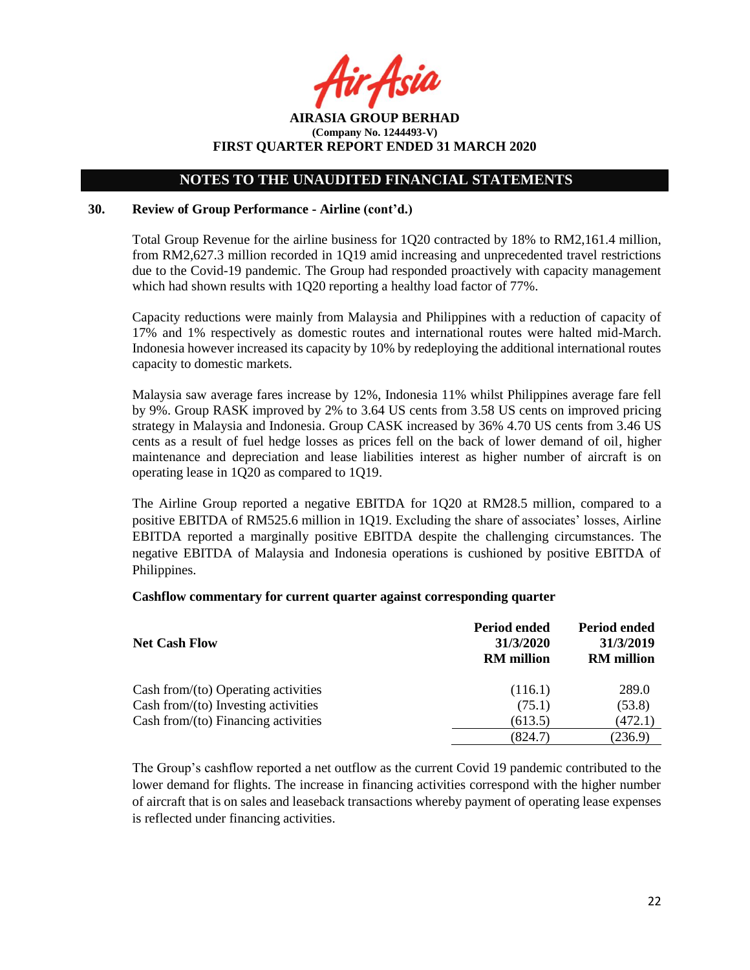Asia

**AIRASIA GROUP BERHAD (Company No. 1244493-V) FIRST QUARTER REPORT ENDED 31 MARCH 2020**

### **30. Review of Group Performance - Airline (cont'd.)**

Total Group Revenue for the airline business for 1Q20 contracted by 18% to RM2,161.4 million, from RM2,627.3 million recorded in 1Q19 amid increasing and unprecedented travel restrictions due to the Covid-19 pandemic. The Group had responded proactively with capacity management which had shown results with 1Q20 reporting a healthy load factor of 77%.

Capacity reductions were mainly from Malaysia and Philippines with a reduction of capacity of 17% and 1% respectively as domestic routes and international routes were halted mid-March. Indonesia however increased its capacity by 10% by redeploying the additional international routes capacity to domestic markets.

Malaysia saw average fares increase by 12%, Indonesia 11% whilst Philippines average fare fell by 9%. Group RASK improved by 2% to 3.64 US cents from 3.58 US cents on improved pricing strategy in Malaysia and Indonesia. Group CASK increased by 36% 4.70 US cents from 3.46 US cents as a result of fuel hedge losses as prices fell on the back of lower demand of oil, higher maintenance and depreciation and lease liabilities interest as higher number of aircraft is on operating lease in 1Q20 as compared to 1Q19.

The Airline Group reported a negative EBITDA for 1Q20 at RM28.5 million, compared to a positive EBITDA of RM525.6 million in 1Q19. Excluding the share of associates' losses, Airline EBITDA reported a marginally positive EBITDA despite the challenging circumstances. The negative EBITDA of Malaysia and Indonesia operations is cushioned by positive EBITDA of Philippines.

#### **Cashflow commentary for current quarter against corresponding quarter**

| <b>Net Cash Flow</b>                   | <b>Period ended</b><br>31/3/2020<br><b>RM</b> million | Period ended<br>31/3/2019<br><b>RM</b> million |
|----------------------------------------|-------------------------------------------------------|------------------------------------------------|
| Cash from/ $(to)$ Operating activities | (116.1)                                               | 289.0                                          |
| Cash from/(to) Investing activities    | (75.1)                                                | (53.8)                                         |
| Cash from/ $(to)$ Financing activities | (613.5)                                               | (472.1)                                        |
|                                        | (824.7)                                               | (236.9)                                        |

The Group's cashflow reported a net outflow as the current Covid 19 pandemic contributed to the lower demand for flights. The increase in financing activities correspond with the higher number of aircraft that is on sales and leaseback transactions whereby payment of operating lease expenses is reflected under financing activities.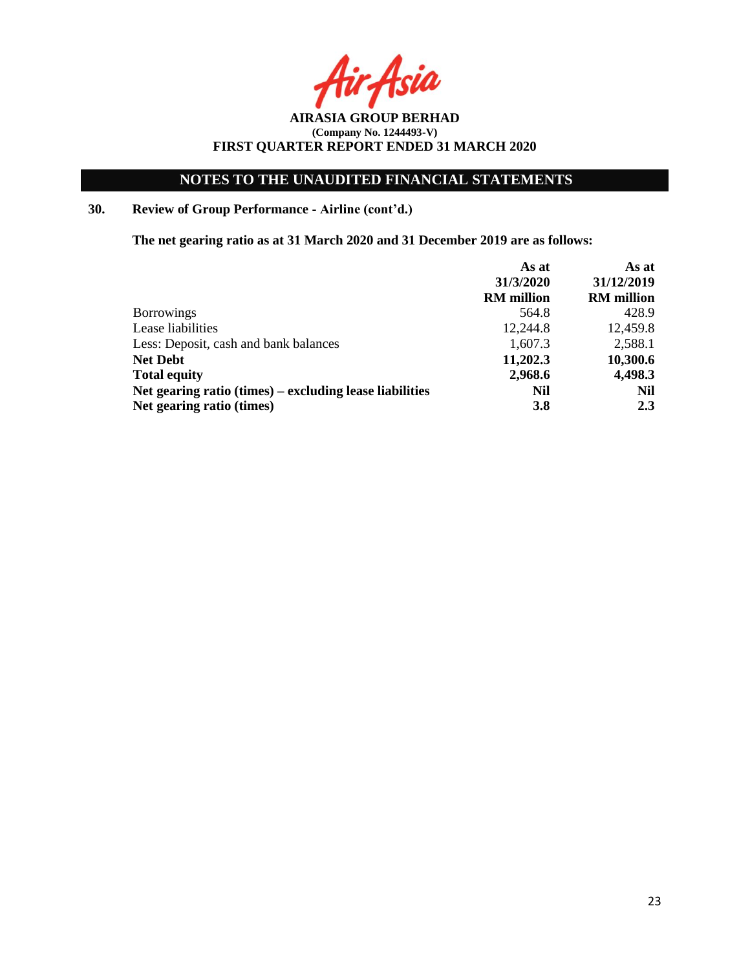**AIRASIA GROUP BERHAD (Company No. 1244493-V) FIRST QUARTER REPORT ENDED 31 MARCH 2020**

# **30. Review of Group Performance - Airline (cont'd.)**

**The net gearing ratio as at 31 March 2020 and 31 December 2019 are as follows:** 

|                                                         | As at             | As at             |
|---------------------------------------------------------|-------------------|-------------------|
|                                                         | 31/3/2020         | 31/12/2019        |
|                                                         | <b>RM</b> million | <b>RM</b> million |
| <b>Borrowings</b>                                       | 564.8             | 428.9             |
| Lease liabilities                                       | 12,244.8          | 12,459.8          |
| Less: Deposit, cash and bank balances                   | 1,607.3           | 2,588.1           |
| <b>Net Debt</b>                                         | 11,202.3          | 10,300.6          |
| <b>Total equity</b>                                     | 2,968.6           | 4,498.3           |
| Net gearing ratio (times) – excluding lease liabilities | Nil               | Nil               |
| Net gearing ratio (times)                               | <b>3.8</b>        | 2.3               |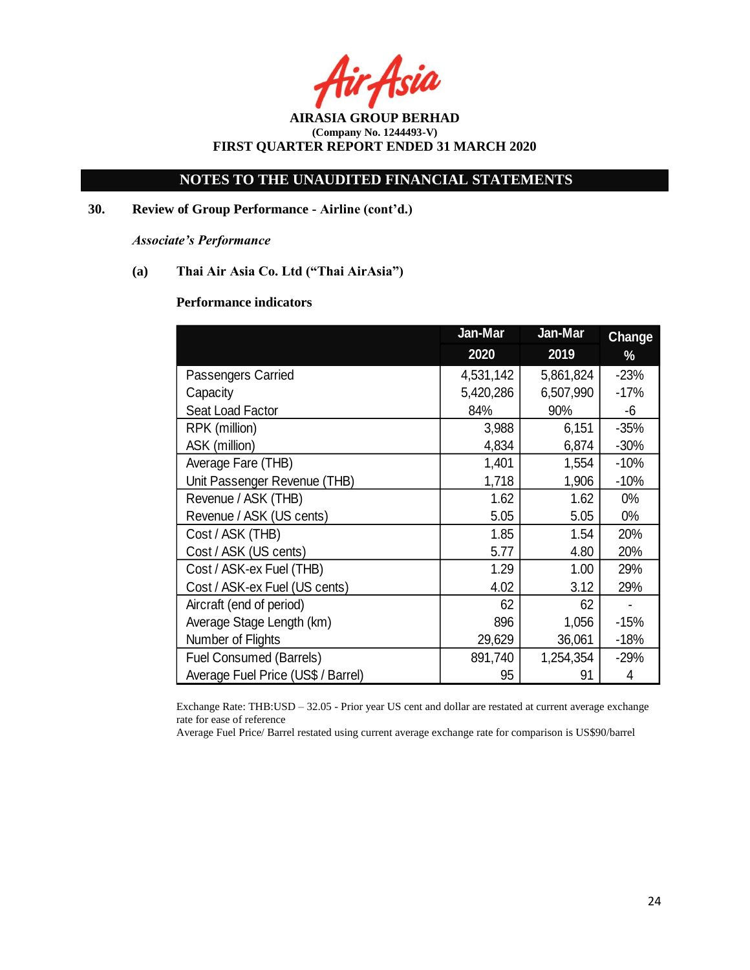Asia

**AIRASIA GROUP BERHAD (Company No. 1244493-V) FIRST QUARTER REPORT ENDED 31 MARCH 2020**

**30. Review of Group Performance - Airline (cont'd.)**

*Associate's Performance*

**(a) Thai Air Asia Co. Ltd ("Thai AirAsia")**

### **Performance indicators**

|                                    | Jan-Mar   | Jan-Mar   | <b>Change</b> |
|------------------------------------|-----------|-----------|---------------|
|                                    | 2020      | 2019      | %             |
| <b>Passengers Carried</b>          | 4,531,142 | 5,861,824 | $-23%$        |
| Capacity                           | 5,420,286 | 6,507,990 | $-17%$        |
| Seat Load Factor                   | 84%       | 90%       | -6            |
| RPK (million)                      | 3,988     | 6,151     | $-35%$        |
| ASK (million)                      | 4,834     | 6,874     | $-30%$        |
| Average Fare (THB)                 | 1,401     | 1,554     | $-10%$        |
| Unit Passenger Revenue (THB)       | 1,718     | 1,906     | $-10%$        |
| Revenue / ASK (THB)                | 1.62      | 1.62      | $0\%$         |
| Revenue / ASK (US cents)           | 5.05      | 5.05      | $0\%$         |
| Cost / ASK (THB)                   | 1.85      | 1.54      | 20%           |
| Cost / ASK (US cents)              | 5.77      | 4.80      | 20%           |
| Cost / ASK-ex Fuel (THB)           | 1.29      | 1.00      | 29%           |
| Cost / ASK-ex Fuel (US cents)      | 4.02      | 3.12      | 29%           |
| Aircraft (end of period)           | 62        | 62        |               |
| Average Stage Length (km)          | 896       | 1,056     | $-15%$        |
| Number of Flights                  | 29,629    | 36,061    | $-18%$        |
| <b>Fuel Consumed (Barrels)</b>     | 891,740   | 1,254,354 | $-29%$        |
| Average Fuel Price (US\$ / Barrel) | 95        | 91        | 4             |

Exchange Rate: THB:USD – 32.05 - Prior year US cent and dollar are restated at current average exchange rate for ease of reference

Average Fuel Price/ Barrel restated using current average exchange rate for comparison is US\$90/barrel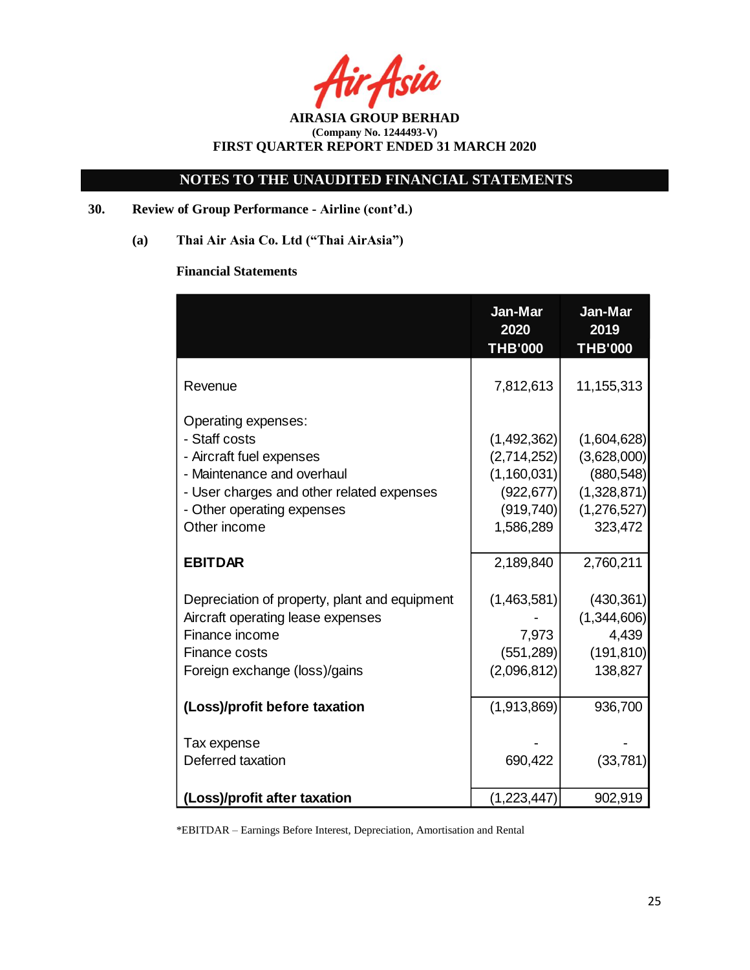Asia

**AIRASIA GROUP BERHAD (Company No. 1244493-V) FIRST QUARTER REPORT ENDED 31 MARCH 2020**

# **30. Review of Group Performance - Airline (cont'd.)**

**(a) Thai Air Asia Co. Ltd ("Thai AirAsia")**

# **Financial Statements**

|                                                                                                                                                                                           | Jan-Mar<br>2020<br><b>THB'000</b>                                                  | Jan-Mar<br>2019<br><b>THB'000</b>                                                 |
|-------------------------------------------------------------------------------------------------------------------------------------------------------------------------------------------|------------------------------------------------------------------------------------|-----------------------------------------------------------------------------------|
| Revenue                                                                                                                                                                                   | 7,812,613                                                                          | 11,155,313                                                                        |
| Operating expenses:<br>- Staff costs<br>- Aircraft fuel expenses<br>- Maintenance and overhaul<br>- User charges and other related expenses<br>- Other operating expenses<br>Other income | (1,492,362)<br>(2,714,252)<br>(1,160,031)<br>(922, 677)<br>(919, 740)<br>1,586,289 | (1,604,628)<br>(3,628,000)<br>(880, 548)<br>(1,328,871)<br>(1,276,527)<br>323,472 |
| <b>EBITDAR</b>                                                                                                                                                                            | 2,189,840                                                                          | 2,760,211                                                                         |
| Depreciation of property, plant and equipment<br>Aircraft operating lease expenses<br>Finance income<br><b>Finance costs</b><br>Foreign exchange (loss)/gains                             | (1,463,581)<br>7,973<br>(551, 289)<br>(2,096,812)                                  | (430, 361)<br>(1,344,606)<br>4,439<br>(191, 810)<br>138,827                       |
| (Loss)/profit before taxation                                                                                                                                                             | (1,913,869)                                                                        | 936,700                                                                           |
| Tax expense<br>Deferred taxation                                                                                                                                                          | 690,422                                                                            | (33, 781)                                                                         |
| (Loss)/profit after taxation                                                                                                                                                              | (1,223,447)                                                                        | 902,919                                                                           |

\*EBITDAR – Earnings Before Interest, Depreciation, Amortisation and Rental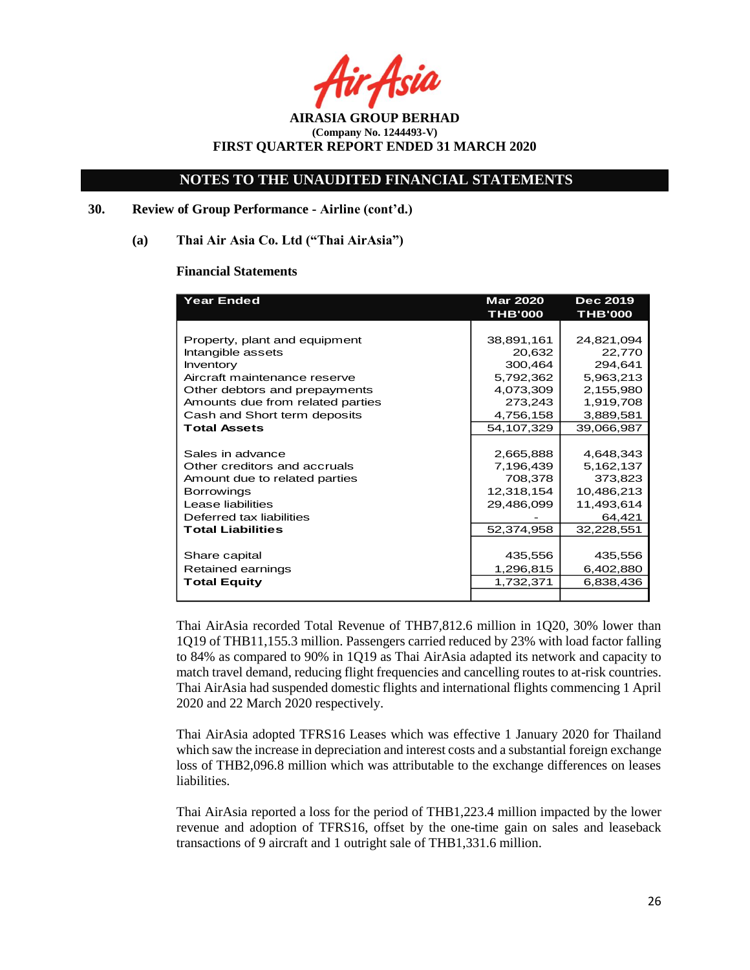Asia

**AIRASIA GROUP BERHAD (Company No. 1244493-V) FIRST QUARTER REPORT ENDED 31 MARCH 2020**

### **30. Review of Group Performance - Airline (cont'd.)**

#### **(a) Thai Air Asia Co. Ltd ("Thai AirAsia")**

#### **Financial Statements**

| <b>Year Ended</b>                | <b>Mar 2020</b> | <b>Dec 2019</b> |  |
|----------------------------------|-----------------|-----------------|--|
|                                  | <b>THB'000</b>  | <b>THB'000</b>  |  |
|                                  |                 |                 |  |
| Property, plant and equipment    | 38,891,161      | 24,821,094      |  |
| Intangible assets                | 20,632          | 22,770          |  |
| Inventory                        | 300,464         | 294,641         |  |
| Aircraft maintenance reserve     | 5,792,362       | 5,963,213       |  |
| Other debtors and prepayments    | 4,073,309       | 2,155,980       |  |
| Amounts due from related parties | 273,243         | 1,919,708       |  |
| Cash and Short term deposits     | 4,756,158       | 3,889,581       |  |
| <b>Total Assets</b>              | 54,107,329      | 39,066,987      |  |
|                                  |                 |                 |  |
| Sales in advance                 | 2,665,888       | 4,648,343       |  |
| Other creditors and accruals     | 7,196,439       | 5,162,137       |  |
| Amount due to related parties    | 708,378         | 373,823         |  |
| <b>Borrowings</b>                | 12,318,154      | 10,486,213      |  |
| Lease liabilities                | 29,486,099      | 11,493,614      |  |
| Deferred tax liabilities         |                 | 64,421          |  |
| <b>Total Liabilities</b>         | 52,374,958      | 32,228,551      |  |
|                                  |                 |                 |  |
| Share capital                    | 435,556         | 435,556         |  |
| Retained earnings                | 1,296,815       | 6,402,880       |  |
| <b>Total Equity</b>              | 1,732,371       | 6,838,436       |  |
|                                  |                 |                 |  |

Thai AirAsia recorded Total Revenue of THB7,812.6 million in 1Q20, 30% lower than 1Q19 of THB11,155.3 million. Passengers carried reduced by 23% with load factor falling to 84% as compared to 90% in 1Q19 as Thai AirAsia adapted its network and capacity to match travel demand, reducing flight frequencies and cancelling routes to at-risk countries. Thai AirAsia had suspended domestic flights and international flights commencing 1 April 2020 and 22 March 2020 respectively.

Thai AirAsia adopted TFRS16 Leases which was effective 1 January 2020 for Thailand which saw the increase in depreciation and interest costs and a substantial foreign exchange loss of THB2,096.8 million which was attributable to the exchange differences on leases liabilities.

Thai AirAsia reported a loss for the period of THB1,223.4 million impacted by the lower revenue and adoption of TFRS16, offset by the one-time gain on sales and leaseback transactions of 9 aircraft and 1 outright sale of THB1,331.6 million.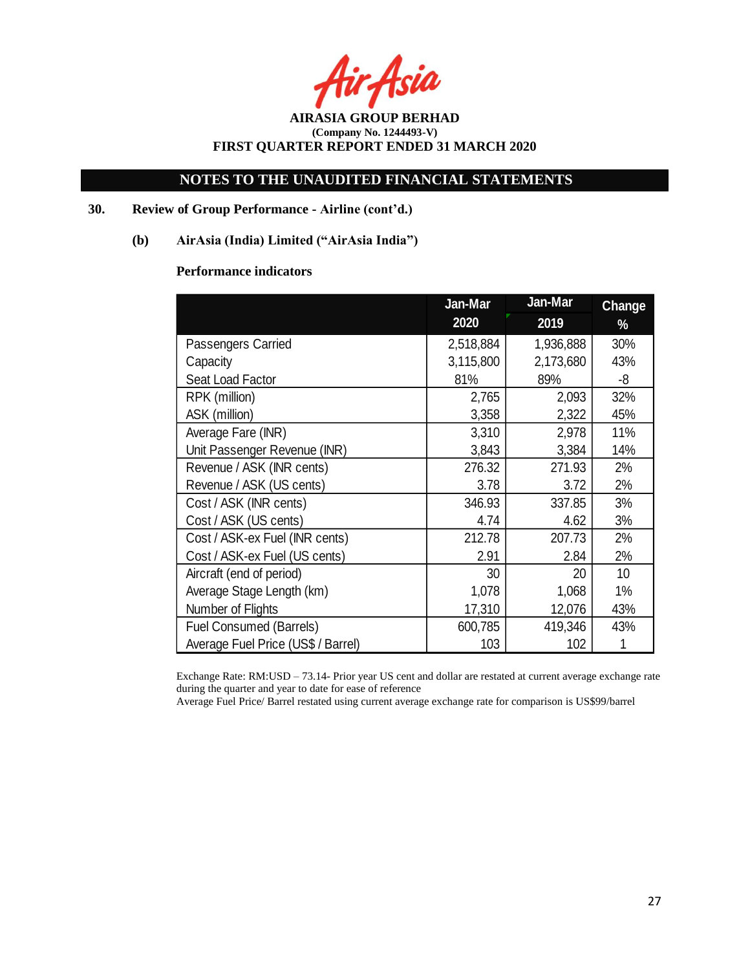Asia

**AIRASIA GROUP BERHAD (Company No. 1244493-V) FIRST QUARTER REPORT ENDED 31 MARCH 2020**

## **30. Review of Group Performance - Airline (cont'd.)**

## **(b) AirAsia (India) Limited ("AirAsia India")**

## **Performance indicators**

|                                    | Jan-Mar   | Jan-Mar   | <b>Change</b> |  |
|------------------------------------|-----------|-----------|---------------|--|
|                                    | 2020      | 2019      | %             |  |
| Passengers Carried                 | 2,518,884 | 1,936,888 | 30%           |  |
| Capacity                           | 3,115,800 | 2,173,680 | 43%           |  |
| Seat Load Factor                   | 81%       | 89%       | -8            |  |
| RPK (million)                      | 2,765     | 2,093     | 32%           |  |
| ASK (million)                      | 3,358     | 2,322     | 45%           |  |
| Average Fare (INR)                 | 3,310     | 2,978     | 11%           |  |
| Unit Passenger Revenue (INR)       | 3,843     | 3,384     | 14%           |  |
| Revenue / ASK (INR cents)          | 276.32    | 271.93    | 2%            |  |
| Revenue / ASK (US cents)           | 3.78      | 3.72      | 2%            |  |
| Cost / ASK (INR cents)             | 346.93    | 337.85    | 3%            |  |
| Cost / ASK (US cents)              | 4.74      | 4.62      | 3%            |  |
| Cost / ASK-ex Fuel (INR cents)     | 212.78    | 207.73    | 2%            |  |
| Cost / ASK-ex Fuel (US cents)      | 2.91      | 2.84      | 2%            |  |
| Aircraft (end of period)           | 30        | 20        | 10            |  |
| Average Stage Length (km)          | 1,078     | 1,068     | 1%            |  |
| Number of Flights                  | 17,310    | 12,076    | 43%           |  |
| <b>Fuel Consumed (Barrels)</b>     | 600,785   | 419,346   | 43%           |  |
| Average Fuel Price (US\$ / Barrel) | 103       | 102       |               |  |

Exchange Rate: RM:USD – 73.14- Prior year US cent and dollar are restated at current average exchange rate during the quarter and year to date for ease of reference

Average Fuel Price/ Barrel restated using current average exchange rate for comparison is US\$99/barrel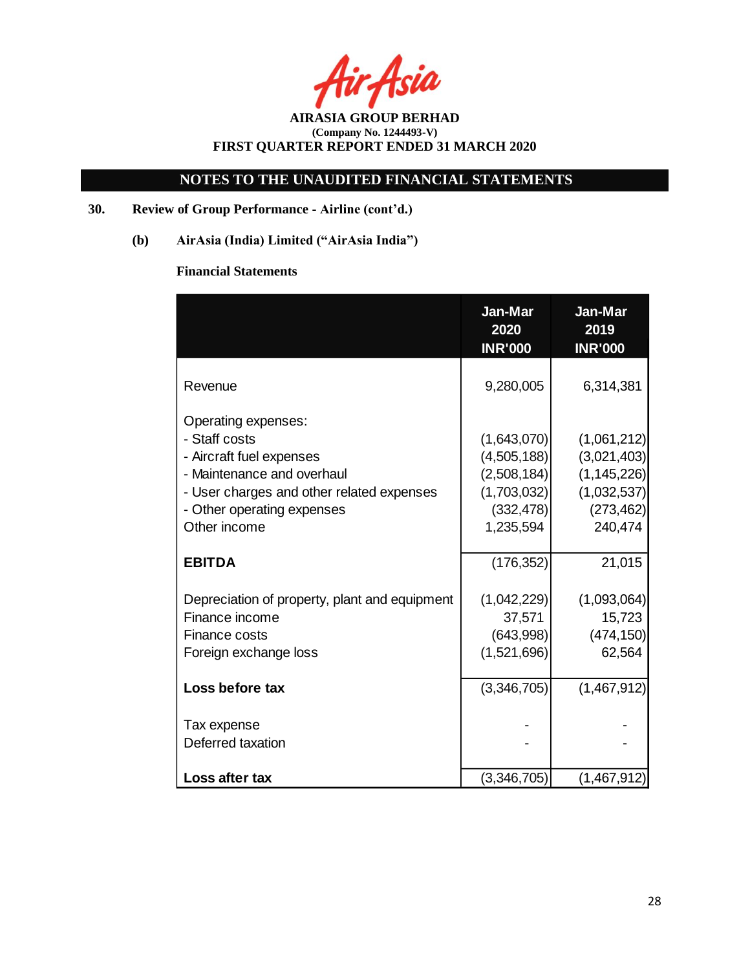**AIRASIA GROUP BERHAD (Company No. 1244493-V) FIRST QUARTER REPORT ENDED 31 MARCH 2020**

# **30. Review of Group Performance - Airline (cont'd.)**

**(b) AirAsia (India) Limited ("AirAsia India")**

# **Financial Statements**

|                                                                                                                                                                                           | Jan-Mar<br>2020<br><b>INR'000</b>                                                   | Jan-Mar<br>2019<br><b>INR'000</b>                                                   |
|-------------------------------------------------------------------------------------------------------------------------------------------------------------------------------------------|-------------------------------------------------------------------------------------|-------------------------------------------------------------------------------------|
| Revenue                                                                                                                                                                                   | 9,280,005                                                                           | 6,314,381                                                                           |
| Operating expenses:<br>- Staff costs<br>- Aircraft fuel expenses<br>- Maintenance and overhaul<br>- User charges and other related expenses<br>- Other operating expenses<br>Other income | (1,643,070)<br>(4,505,188)<br>(2,508,184)<br>(1,703,032)<br>(332, 478)<br>1,235,594 | (1,061,212)<br>(3,021,403)<br>(1, 145, 226)<br>(1,032,537)<br>(273, 462)<br>240,474 |
| <b>EBITDA</b>                                                                                                                                                                             | (176, 352)                                                                          | 21,015                                                                              |
| Depreciation of property, plant and equipment<br>Finance income<br>Finance costs<br>Foreign exchange loss                                                                                 | (1,042,229)<br>37,571<br>(643,998)<br>(1,521,696)                                   | (1,093,064)<br>15,723<br>(474, 150)<br>62,564                                       |
| Loss before tax                                                                                                                                                                           | (3,346,705)                                                                         | (1,467,912)                                                                         |
| Tax expense<br>Deferred taxation                                                                                                                                                          |                                                                                     |                                                                                     |
| Loss after tax                                                                                                                                                                            | (3,346,705)                                                                         | (1,467,912)                                                                         |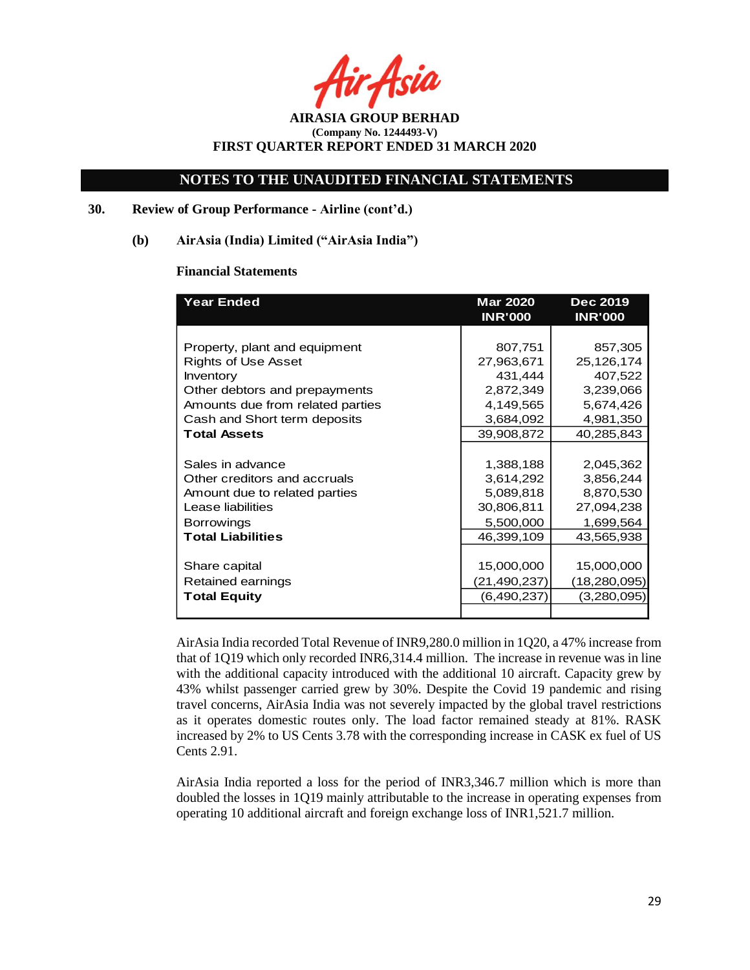Asia

**AIRASIA GROUP BERHAD (Company No. 1244493-V) FIRST QUARTER REPORT ENDED 31 MARCH 2020**

### **30. Review of Group Performance - Airline (cont'd.)**

#### **(b) AirAsia (India) Limited ("AirAsia India")**

#### **Financial Statements**

| <b>Year Ended</b>                | <b>Mar 2020</b> | <b>Dec 2019</b> |  |
|----------------------------------|-----------------|-----------------|--|
|                                  | <b>INR'000</b>  | <b>INR'000</b>  |  |
|                                  |                 |                 |  |
| Property, plant and equipment    | 807,751         | 857,305         |  |
| <b>Rights of Use Asset</b>       | 27,963,671      | 25,126,174      |  |
| <b>Inventory</b>                 | 431,444         | 407,522         |  |
| Other debtors and prepayments    | 2,872,349       | 3,239,066       |  |
| Amounts due from related parties | 4,149,565       | 5,674,426       |  |
| Cash and Short term deposits     | 3,684,092       | 4,981,350       |  |
| <b>Total Assets</b>              | 39,908,872      | 40,285,843      |  |
|                                  |                 |                 |  |
| Sales in advance                 | 1,388,188       | 2,045,362       |  |
| Other creditors and accruals     | 3,614,292       | 3,856,244       |  |
| Amount due to related parties    | 5,089,818       | 8,870,530       |  |
| Lease liabilities                | 30,806,811      | 27,094,238      |  |
| <b>Borrowings</b>                | 5,500,000       | 1,699,564       |  |
| <b>Total Liabilities</b>         | 46,399,109      | 43,565,938      |  |
|                                  |                 |                 |  |
| Share capital                    | 15,000,000      | 15,000,000      |  |
| Retained earnings                | (21,490,237)    | (18, 280, 095)  |  |
| <b>Total Equity</b>              | (6,490,237)     | (3,280,095)     |  |
|                                  |                 |                 |  |

AirAsia India recorded Total Revenue of INR9,280.0 million in 1Q20, a 47% increase from that of 1Q19 which only recorded INR6,314.4 million. The increase in revenue was in line with the additional capacity introduced with the additional 10 aircraft. Capacity grew by 43% whilst passenger carried grew by 30%. Despite the Covid 19 pandemic and rising travel concerns, AirAsia India was not severely impacted by the global travel restrictions as it operates domestic routes only. The load factor remained steady at 81%. RASK increased by 2% to US Cents 3.78 with the corresponding increase in CASK ex fuel of US Cents 2.91.

AirAsia India reported a loss for the period of INR3,346.7 million which is more than doubled the losses in 1Q19 mainly attributable to the increase in operating expenses from operating 10 additional aircraft and foreign exchange loss of INR1,521.7 million.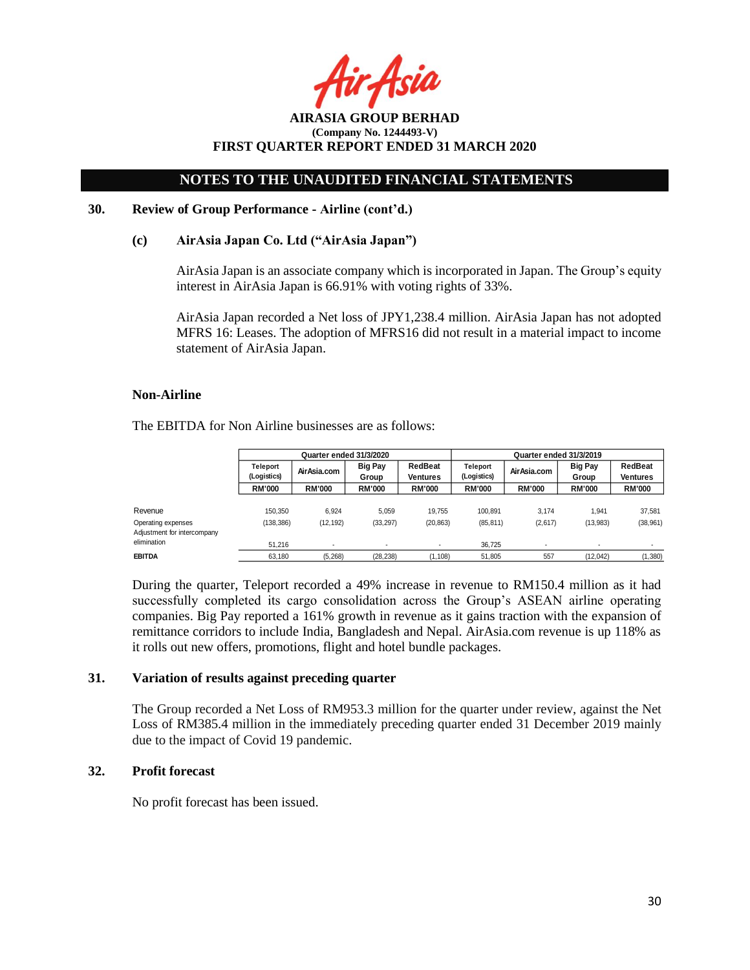: Asil

**AIRASIA GROUP BERHAD (Company No. 1244493-V) FIRST QUARTER REPORT ENDED 31 MARCH 2020**

#### **30. Review of Group Performance - Airline (cont'd.)**

### **(c) AirAsia Japan Co. Ltd ("AirAsia Japan")**

AirAsia Japan is an associate company which is incorporated in Japan. The Group's equity interest in AirAsia Japan is 66.91% with voting rights of 33%.

AirAsia Japan recorded a Net loss of JPY1,238.4 million. AirAsia Japan has not adopted MFRS 16: Leases. The adoption of MFRS16 did not result in a material impact to income statement of AirAsia Japan.

#### **Non-Airline**

The EBITDA for Non Airline businesses are as follows:

|                                                   | Quarter ended 31/3/2020 |               |                          | Quarter ended 31/3/2019    |                                |               |                          |               |                         |                     |
|---------------------------------------------------|-------------------------|---------------|--------------------------|----------------------------|--------------------------------|---------------|--------------------------|---------------|-------------------------|---------------------|
|                                                   | Teleport<br>(Logistics) | Air Asia.com  | <b>Big Pay</b><br>Group  | RedBeat<br><b>Ventures</b> | <b>Teleport</b><br>(Logistics) |               |                          | AirAsia.com   | <b>Big Pay</b><br>Group | RedBeat<br>Ventures |
|                                                   | <b>RM'000</b>           | <b>RM'000</b> | <b>RM'000</b>            | <b>RM'000</b>              | <b>RM'000</b>                  | <b>RM'000</b> | <b>RM'000</b>            | <b>RM'000</b> |                         |                     |
| Revenue                                           | 150.350                 | 6.924         | 5.059                    | 19.755                     | 100.891                        | 3.174         | .941                     | 37.581        |                         |                     |
| Operating expenses<br>Adjustment for intercompany | (138, 386)              | (12, 192)     | (33, 297)                | (20, 863)                  | (85, 811)                      | (2,617)       | (13,983)                 | (38, 961)     |                         |                     |
| elimination                                       | 51.216                  |               | $\overline{\phantom{a}}$ | ۰                          | 36.725                         |               | $\overline{\phantom{a}}$ |               |                         |                     |
| EBITDA                                            | 63.180                  | (5.268)       | (28, 238)                | (1, 108)                   | 51.805                         | 557           | (12.042)                 | (1,380)       |                         |                     |

During the quarter, Teleport recorded a 49% increase in revenue to RM150.4 million as it had successfully completed its cargo consolidation across the Group's ASEAN airline operating companies. Big Pay reported a 161% growth in revenue as it gains traction with the expansion of remittance corridors to include India, Bangladesh and Nepal. AirAsia.com revenue is up 118% as it rolls out new offers, promotions, flight and hotel bundle packages.

### **31. Variation of results against preceding quarter**

The Group recorded a Net Loss of RM953.3 million for the quarter under review, against the Net Loss of RM385.4 million in the immediately preceding quarter ended 31 December 2019 mainly due to the impact of Covid 19 pandemic.

### **32. Profit forecast**

No profit forecast has been issued.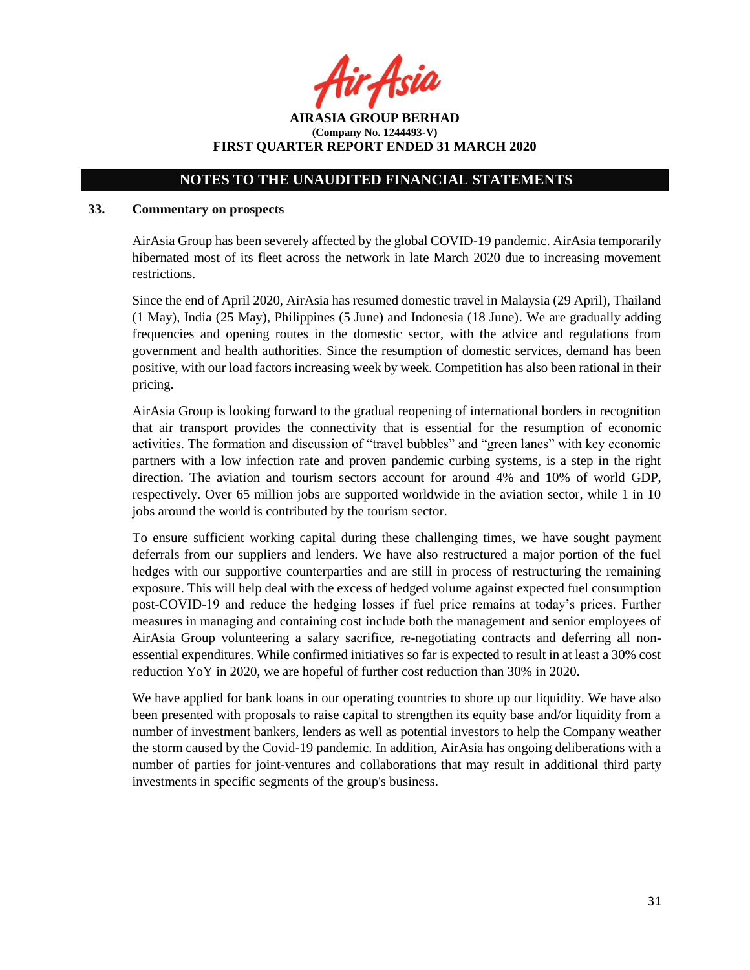r Asia

**AIRASIA GROUP BERHAD (Company No. 1244493-V) FIRST QUARTER REPORT ENDED 31 MARCH 2020**

### **33. Commentary on prospects**

AirAsia Group has been severely affected by the global COVID-19 pandemic. AirAsia temporarily hibernated most of its fleet across the network in late March 2020 due to increasing movement restrictions.

Since the end of April 2020, AirAsia has resumed domestic travel in Malaysia (29 April), Thailand (1 May), India (25 May), Philippines (5 June) and Indonesia (18 June). We are gradually adding frequencies and opening routes in the domestic sector, with the advice and regulations from government and health authorities. Since the resumption of domestic services, demand has been positive, with our load factors increasing week by week. Competition has also been rational in their pricing.

AirAsia Group is looking forward to the gradual reopening of international borders in recognition that air transport provides the connectivity that is essential for the resumption of economic activities. The formation and discussion of "travel bubbles" and "green lanes" with key economic partners with a low infection rate and proven pandemic curbing systems, is a step in the right direction. The aviation and tourism sectors account for around 4% and 10% of world GDP, respectively. Over 65 million jobs are supported worldwide in the aviation sector, while 1 in 10 jobs around the world is contributed by the tourism sector.

To ensure sufficient working capital during these challenging times, we have sought payment deferrals from our suppliers and lenders. We have also restructured a major portion of the fuel hedges with our supportive counterparties and are still in process of restructuring the remaining exposure. This will help deal with the excess of hedged volume against expected fuel consumption post-COVID-19 and reduce the hedging losses if fuel price remains at today's prices. Further measures in managing and containing cost include both the management and senior employees of AirAsia Group volunteering a salary sacrifice, re-negotiating contracts and deferring all nonessential expenditures. While confirmed initiatives so far is expected to result in at least a 30% cost reduction YoY in 2020, we are hopeful of further cost reduction than 30% in 2020.

We have applied for bank loans in our operating countries to shore up our liquidity. We have also been presented with proposals to raise capital to strengthen its equity base and/or liquidity from a number of investment bankers, lenders as well as potential investors to help the Company weather the storm caused by the Covid-19 pandemic. In addition, AirAsia has ongoing deliberations with a number of parties for joint-ventures and collaborations that may result in additional third party investments in specific segments of the group's business.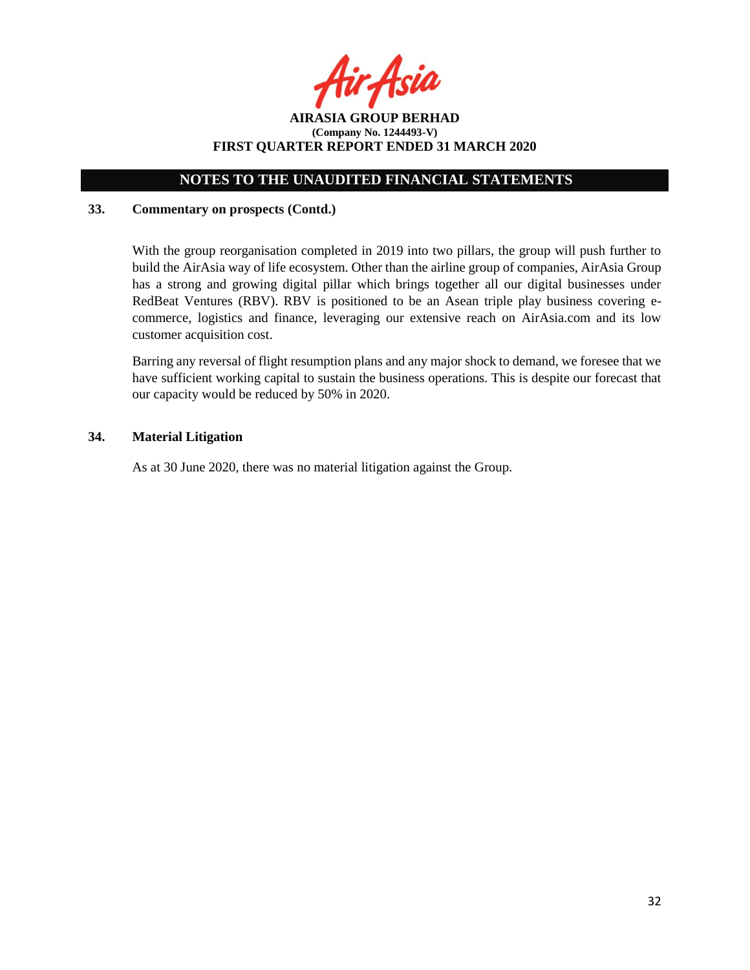**AIRASIA GROUP BERHAD (Company No. 1244493-V) FIRST QUARTER REPORT ENDED 31 MARCH 2020**

## **33. Commentary on prospects (Contd.)**

With the group reorganisation completed in 2019 into two pillars, the group will push further to build the AirAsia way of life ecosystem. Other than the airline group of companies, AirAsia Group has a strong and growing digital pillar which brings together all our digital businesses under RedBeat Ventures (RBV). RBV is positioned to be an Asean triple play business covering ecommerce, logistics and finance, leveraging our extensive reach on AirAsia.com and its low customer acquisition cost.

Barring any reversal of flight resumption plans and any major shock to demand, we foresee that we have sufficient working capital to sustain the business operations. This is despite our forecast that our capacity would be reduced by 50% in 2020.

### **34. Material Litigation**

As at 30 June 2020, there was no material litigation against the Group.